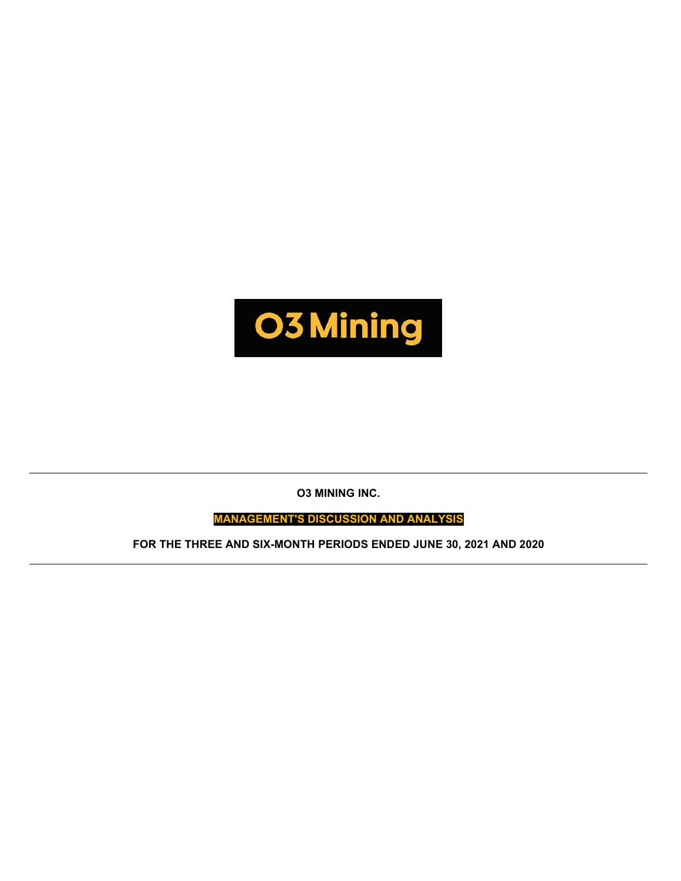

**O3 MINING INC.**

**MANAGEMENT'S DISCUSSION AND ANALYSIS**

**FOR THE THREE AND SIX-MONTH PERIODS ENDED JUNE 30, 2021 AND 2020**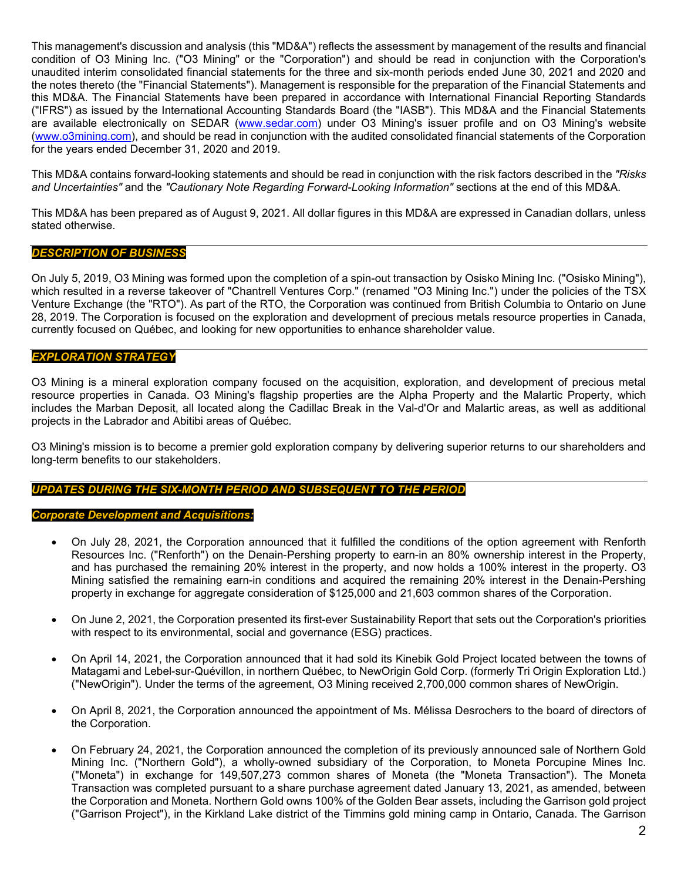This management's discussion and analysis (this "MD&A") reflects the assessment by management of the results and financial condition of O3 Mining Inc. ("O3 Mining" or the "Corporation") and should be read in conjunction with the Corporation's unaudited interim consolidated financial statements for the three and six-month periods ended June 30, 2021 and 2020 and the notes thereto (the "Financial Statements"). Management is responsible for the preparation of the Financial Statements and this MD&A. The Financial Statements have been prepared in accordance with International Financial Reporting Standards ("IFRS") as issued by the International Accounting Standards Board (the "IASB"). This MD&A and the Financial Statements are available electronically on SEDAR [\(www.sedar.com\)](http://www.sedar.com/) under O3 Mining's issuer profile and on O3 Mining's website [\(www.o3mining.com\)](http://www.o3mining.com/), and should be read in conjunction with the audited consolidated financial statements of the Corporation for the years ended December 31, 2020 and 2019.

This MD&A contains forward-looking statements and should be read in conjunction with the risk factors described in the *"Risks and Uncertainties"* and the *"Cautionary Note Regarding Forward-Looking Information"* sections at the end of this MD&A.

This MD&A has been prepared as of August 9, 2021. All dollar figures in this MD&A are expressed in Canadian dollars, unless stated otherwise.

## *DESCRIPTION OF BUSINESS*

On July 5, 2019, O3 Mining was formed upon the completion of a spin-out transaction by Osisko Mining Inc. ("Osisko Mining"), which resulted in a reverse takeover of "Chantrell Ventures Corp." (renamed "O3 Mining Inc.") under the policies of the TSX Venture Exchange (the "RTO"). As part of the RTO, the Corporation was continued from British Columbia to Ontario on June 28, 2019. The Corporation is focused on the exploration and development of precious metals resource properties in Canada, currently focused on Québec, and looking for new opportunities to enhance shareholder value.

## *EXPLORATION STRATEGY*

O3 Mining is a mineral exploration company focused on the acquisition, exploration, and development of precious metal resource properties in Canada. O3 Mining's flagship properties are the Alpha Property and the Malartic Property, which includes the Marban Deposit, all located along the Cadillac Break in the Val-d'Or and Malartic areas, as well as additional projects in the Labrador and Abitibi areas of Québec.

O3 Mining's mission is to become a premier gold exploration company by delivering superior returns to our shareholders and long-term benefits to our stakeholders.

## *UPDATES DURING THE SIX-MONTH PERIOD AND SUBSEQUENT TO THE PERIOD*

### *Corporate Development and Acquisitions:*

- On July 28, 2021, the Corporation announced that it fulfilled the conditions of the option agreement with Renforth Resources Inc. ("Renforth") on the Denain-Pershing property to earn-in an 80% ownership interest in the Property, and has purchased the remaining 20% interest in the property, and now holds a 100% interest in the property. O3 Mining satisfied the remaining earn-in conditions and acquired the remaining 20% interest in the Denain-Pershing property in exchange for aggregate consideration of \$125,000 and 21,603 common shares of the Corporation.
- On June 2, 2021, the Corporation presented its first-ever Sustainability Report that sets out the Corporation's priorities with respect to its environmental, social and governance (ESG) practices.
- On April 14, 2021, the Corporation announced that it had sold its Kinebik Gold Project located between the towns of Matagami and Lebel-sur-Quévillon, in northern Québec, to NewOrigin Gold Corp. (formerly Tri Origin Exploration Ltd.) ("NewOrigin"). Under the terms of the agreement, O3 Mining received 2,700,000 common shares of NewOrigin.
- On April 8, 2021, the Corporation announced the appointment of Ms. Mélissa Desrochers to the board of directors of the Corporation.
- On February 24, 2021, the Corporation announced the completion of its previously announced sale of Northern Gold Mining Inc. ("Northern Gold"), a wholly-owned subsidiary of the Corporation, to Moneta Porcupine Mines Inc. ("Moneta") in exchange for 149,507,273 common shares of Moneta (the "Moneta Transaction"). The Moneta Transaction was completed pursuant to a share purchase agreement dated January 13, 2021, as amended, between the Corporation and Moneta. Northern Gold owns 100% of the Golden Bear assets, including the Garrison gold project ("Garrison Project"), in the Kirkland Lake district of the Timmins gold mining camp in Ontario, Canada. The Garrison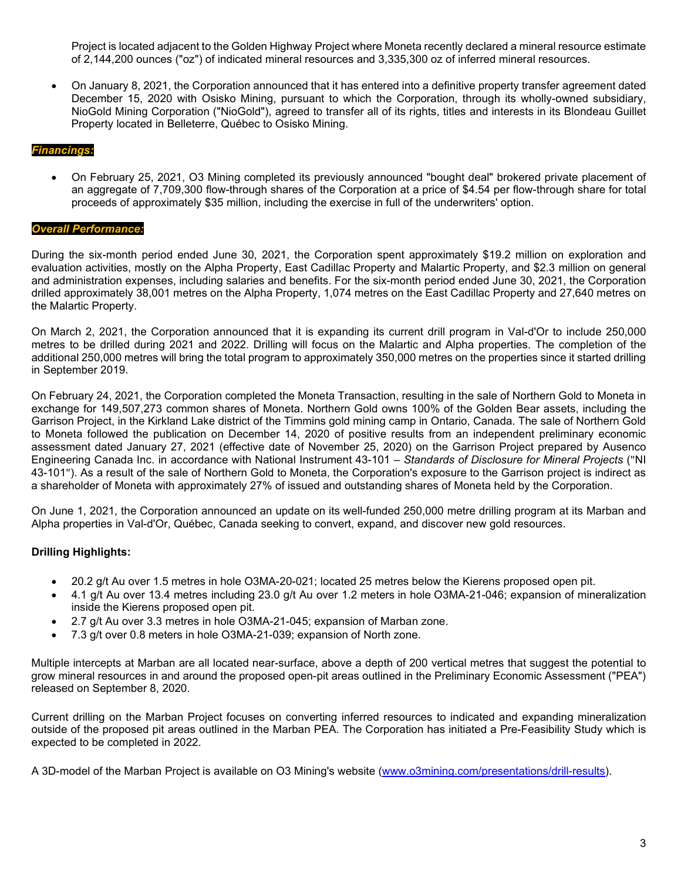Project is located adjacent to the Golden Highway Project where Moneta recently declared a mineral resource estimate of 2,144,200 ounces ("oz") of indicated mineral resources and 3,335,300 oz of inferred mineral resources.

• On January 8, 2021, the Corporation announced that it has entered into a definitive property transfer agreement dated December 15, 2020 with Osisko Mining, pursuant to which the Corporation, through its wholly-owned subsidiary, NioGold Mining Corporation ("NioGold"), agreed to transfer all of its rights, titles and interests in its Blondeau Guillet Property located in Belleterre, Québec to Osisko Mining.

# *Financings:*

• On February 25, 2021, O3 Mining completed its previously announced "bought deal" brokered private placement of an aggregate of 7,709,300 flow-through shares of the Corporation at a price of \$4.54 per flow-through share for total proceeds of approximately \$35 million, including the exercise in full of the underwriters' option.

## *Overall Performance:*

During the six-month period ended June 30, 2021, the Corporation spent approximately \$19.2 million on exploration and evaluation activities, mostly on the Alpha Property, East Cadillac Property and Malartic Property, and \$2.3 million on general and administration expenses, including salaries and benefits. For the six-month period ended June 30, 2021, the Corporation drilled approximately 38,001 metres on the Alpha Property, 1,074 metres on the East Cadillac Property and 27,640 metres on the Malartic Property.

On March 2, 2021, the Corporation announced that it is expanding its current drill program in Val-d'Or to include 250,000 metres to be drilled during 2021 and 2022. Drilling will focus on the Malartic and Alpha properties. The completion of the additional 250,000 metres will bring the total program to approximately 350,000 metres on the properties since it started drilling in September 2019.

On February 24, 2021, the Corporation completed the Moneta Transaction, resulting in the sale of Northern Gold to Moneta in exchange for 149,507,273 common shares of Moneta. Northern Gold owns 100% of the Golden Bear assets, including the Garrison Project, in the Kirkland Lake district of the Timmins gold mining camp in Ontario, Canada. The sale of Northern Gold to Moneta followed the publication on December 14, 2020 of positive results from an independent preliminary economic assessment dated January 27, 2021 (effective date of November 25, 2020) on the Garrison Project prepared by Ausenco Engineering Canada Inc. in accordance with National Instrument 43-101 – *Standards of Disclosure for Mineral Projects* ("NI 43-101"). As a result of the sale of Northern Gold to Moneta, the Corporation's exposure to the Garrison project is indirect as a shareholder of Moneta with approximately 27% of issued and outstanding shares of Moneta held by the Corporation.

On June 1, 2021, the Corporation announced an update on its well-funded 250,000 metre drilling program at its Marban and Alpha properties in Val-d'Or, Québec, Canada seeking to convert, expand, and discover new gold resources.

# **Drilling Highlights:**

- 20.2 g/t Au over 1.5 metres in hole O3MA-20-021; located 25 metres below the Kierens proposed open pit.
- 4.1 g/t Au over 13.4 metres including 23.0 g/t Au over 1.2 meters in hole O3MA-21-046; expansion of mineralization inside the Kierens proposed open pit.
- 2.7 g/t Au over 3.3 metres in hole O3MA-21-045; expansion of Marban zone.
- 7.3 g/t over 0.8 meters in hole O3MA-21-039; expansion of North zone.

Multiple intercepts at Marban are all located near-surface, above a depth of 200 vertical metres that suggest the potential to grow mineral resources in and around the proposed open-pit areas outlined in the Preliminary Economic Assessment ("PEA") released on [September 8, 2020.](https://c212.net/c/link/?t=0&l=en&o=3180042-1&h=758625045&u=https%3A%2F%2Fo3mining.com%2Fnews%2Fo3-mining-delivers-positive-pea-for-marban-project%2F&a=September+08%2C+2020)

Current drilling on the Marban Project focuses on converting inferred resources to indicated and expanding mineralization outside of the proposed pit areas outlined in the Marban PEA. The Corporation has initiated a Pre-Feasibility Study which is expected to be completed in 2022.

A 3D-model of the Marban Project is available on O3 Mining's website (www[.o3mining.com/presentations/drill-results\)](https://c212.net/c/link/?t=0&l=en&o=3180042-1&h=2309750005&u=https%3A%2F%2Fo3mining.com%2Fpresentations%2Fdrill-results&a=https%3A%2F%2Fo3mining.com%2Fpresentations%2Fdrill-results).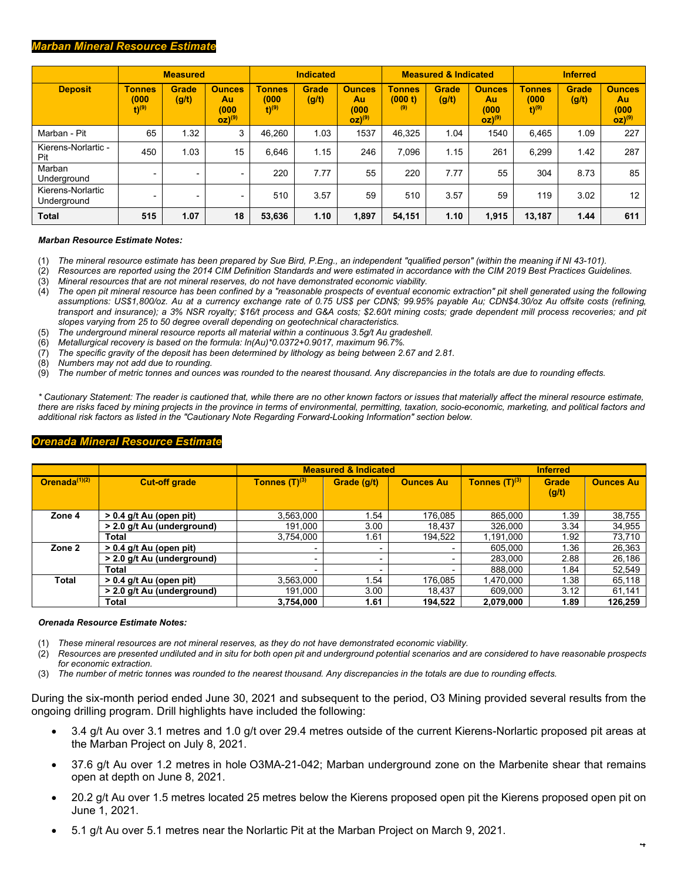### *Marban Mineral Resource Estimate*

|                                  |                                                | <b>Measured</b>       |                                                      |                                               | <b>Indicated</b>      |                                                      |                                 | <b>Measured &amp; Indicated</b> |                                             | <b>Inferred</b>                               |                       |                                                      |  |
|----------------------------------|------------------------------------------------|-----------------------|------------------------------------------------------|-----------------------------------------------|-----------------------|------------------------------------------------------|---------------------------------|---------------------------------|---------------------------------------------|-----------------------------------------------|-----------------------|------------------------------------------------------|--|
| <b>Deposit</b>                   | <b>Tonnes</b><br>(000)<br>$(t)$ <sup>(9)</sup> | <b>Grade</b><br>(g/t) | <b>Ounces</b><br>Au<br>(000)<br>$OZ)$ <sup>(9)</sup> | <b>Tonnes</b><br>(000)<br>$t)$ <sup>(9)</sup> | <b>Grade</b><br>(g/t) | <b>Ounces</b><br>Au<br>(000)<br>$OZ)$ <sup>(9)</sup> | <b>Tonnes</b><br>(000 t)<br>(9) | <b>Grade</b><br>(g/t)           | <b>Ounces</b><br>Au<br>(000)<br>$OZ)^{(9)}$ | <b>Tonnes</b><br>(000)<br>$t)$ <sup>(9)</sup> | <b>Grade</b><br>(g/t) | <b>Ounces</b><br>Au<br>(000)<br>$OZ)$ <sup>(9)</sup> |  |
| Marban - Pit                     | 65                                             | 1.32 <sub>1</sub>     | 3                                                    | 46.260                                        | 1.03                  | 1537                                                 | 46.325                          | 1.04                            | 1540                                        | 6.465                                         | 1.09                  | 227                                                  |  |
| Kierens-Norlartic -<br>Pit       | 450                                            | 1.03                  | 15                                                   | 6,646                                         | 1.15                  | 246                                                  | 7.096                           |                                 | 261                                         | 6.299                                         | 1.42                  | 287                                                  |  |
| Marban<br>Underground            |                                                | -                     | $\overline{\phantom{0}}$                             | 220                                           | 7.77                  | 55                                                   | 220                             | 7.77                            | 55                                          | 304                                           | 8.73                  | 85                                                   |  |
| Kierens-Norlartic<br>Underground | -                                              | -                     | $\overline{\phantom{0}}$                             | 510                                           | 3.57                  | 59                                                   | 510                             | 3.57                            | 59                                          | 119                                           | 3.02                  | 12                                                   |  |
| Total                            | 515                                            | 1.07                  | 18                                                   | 53,636                                        | 1.10                  | 1,897                                                | 54,151                          | 1.10                            | 1,915                                       | 13,187                                        | 1.44                  | 611                                                  |  |

#### *Marban Resource Estimate Notes:*

- (1) *The mineral resource estimate has been prepared by Sue Bird, P.Eng., an independent "qualified person" (within the meaning if NI 43-101).*
- (2) *Resources are reported using the 2014 CIM Definition Standards and were estimated in accordance with the CIM 2019 Best Practices Guidelines.* (3) *Mineral resources that are not mineral reserves, do not have demonstrated economic viability.*
- (4) *The open pit mineral resource has been confined by a "reasonable prospects of eventual economic extraction" pit shell generated using the following assumptions: US\$1,800/oz. Au at a currency exchange rate of 0.75 US\$ per CDN\$; 99.95% payable Au; CDN\$4.30/oz Au offsite costs (refining, transport and insurance); a 3% NSR royalty; \$16/t process and G&A costs; \$2.60/t mining costs; grade dependent mill process recoveries; and pit slopes varying from 25 to 50 degree overall depending on geotechnical characteristics.*
- (5) *The underground mineral resource reports all material within a continuous 3.5g/t Au gradeshell.*
- (6) *Metallurgical recovery is based on the formula: ln(Au)\*0.0372+0.9017, maximum 96.7%.*
- (7) *The specific gravity of the deposit has been determined by lithology as being between 2.67 and 2.81.*
- (8) *Numbers may not add due to rounding.*
- (9) *The number of metric tonnes and ounces was rounded to the nearest thousand. Any discrepancies in the totals are due to rounding effects.*

*\* Cautionary Statement: The reader is cautioned that, while there are no other known factors or issues that materially affect the mineral resource estimate, there are risks faced by mining projects in the province in terms of environmental, permitting, taxation, socio-economic, marketing, and political factors and additional risk factors as listed in the "Cautionary Note Regarding Forward-Looking Information" section below.*

#### *Orenada Mineral Resource Estimate*

|                  |                            |                          | <b>Measured &amp; Indicated</b> |                  | <b>Inferred</b>    |                       |                  |  |  |  |
|------------------|----------------------------|--------------------------|---------------------------------|------------------|--------------------|-----------------------|------------------|--|--|--|
| Orenada $(1)(2)$ | <b>Cut-off grade</b>       | Tonnes $(T)^{(3)}$       | Grade (g/t)                     | <b>Ounces Au</b> | Tonnes $(T)^{(3)}$ | <b>Grade</b><br>(g/t) | <b>Ounces Au</b> |  |  |  |
| Zone 4           | $> 0.4$ g/t Au (open pit)  | 3,563,000                | 1.54                            | 176,085          | 865.000            | 1.39                  | 38,755           |  |  |  |
|                  | > 2.0 g/t Au (underground) | 191,000                  | 3.00                            | 18,437           | 326,000            | 3.34                  | 34,955           |  |  |  |
|                  | Total                      | 3,754,000                | 1.61                            | 194,522          | 1,191,000          | 1.92                  | 73,710           |  |  |  |
| Zone 2           | $> 0.4$ g/t Au (open pit)  | $\overline{\phantom{a}}$ | $\overline{\phantom{a}}$        |                  | 605.000            | 1.36                  | 26,363           |  |  |  |
|                  | > 2.0 g/t Au (underground) | ٠                        | ٠                               |                  | 283,000            | 2.88                  | 26,186           |  |  |  |
|                  | <b>Total</b>               | -                        | $\overline{\phantom{0}}$        |                  | 888,000            | 1.84                  | 52,549           |  |  |  |
| <b>Total</b>     | $> 0.4$ g/t Au (open pit)  | 3,563,000                | 1.54                            | 176,085          | 1,470,000          | 1.38                  | 65,118           |  |  |  |
|                  | > 2.0 g/t Au (underground) | 191.000                  | 3.00                            | 18,437           | 609,000            | 3.12                  | 61,141           |  |  |  |
|                  | <b>Total</b>               | 3,754,000                | 1.61                            | 194,522          | 2,079,000          | 1.89                  | 126,259          |  |  |  |

#### *Orenada Resource Estimate Notes:*

- (1) *These mineral resources are not mineral reserves, as they do not have demonstrated economic viability.*
- (2) *Resources are presented undiluted and in situ for both open pit and underground potential scenarios and are considered to have reasonable prospects for economic extraction.*
- (3) *The number of metric tonnes was rounded to the nearest thousand. Any discrepancies in the totals are due to rounding effects.*

During the six-month period ended June 30, 2021 and subsequent to the period, O3 Mining provided several results from the ongoing drilling program. Drill highlights have included the following:

- 3.4 g/t Au over 3.1 metres and 1.0 g/t over 29.4 metres outside of the current Kierens-Norlartic proposed pit areas at the Marban Project on July 8, 2021.
- 37.6 g/t Au over 1.2 metres in hole O3MA-21-042; Marban underground zone on the Marbenite shear that remains open at depth on June 8, 2021.
- 20.2 g/t Au over 1.5 metres located 25 metres below the Kierens proposed open pit the Kierens proposed open pit on June 1, 2021.
- 5.1 g/t Au over 5.1 metres near the Norlartic Pit at the Marban Project on March 9, 2021.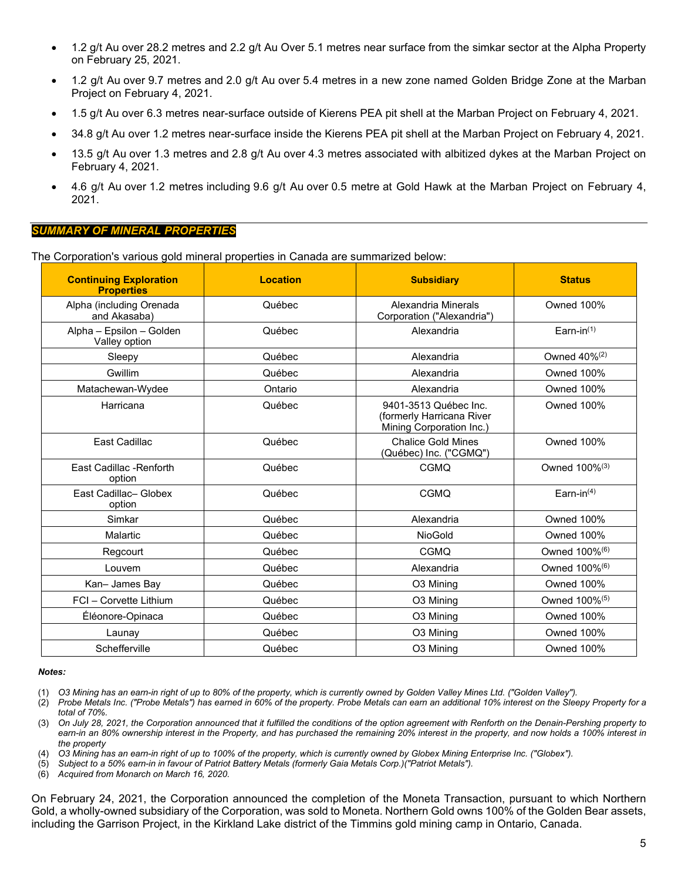- 1.2 g/t Au over 28.2 metres and 2.2 g/t Au Over 5.1 metres near surface from the simkar sector at the Alpha Property on February 25, 2021.
- 1.2 g/t Au over 9.7 metres and 2.0 g/t Au over 5.4 metres in a new zone named Golden Bridge Zone at the Marban Project on February 4, 2021.
- 1.5 g/t Au over 6.3 metres near-surface outside of Kierens PEA pit shell at the Marban Project on February 4, 2021.
- 34.8 g/t Au over 1.2 metres near-surface inside the Kierens PEA pit shell at the Marban Project on February 4, 2021.
- 13.5 g/t Au over 1.3 metres and 2.8 g/t Au over 4.3 metres associated with albitized dykes at the Marban Project on February 4, 2021.
- 4.6 g/t Au over 1.2 metres including 9.6 g/t Au over 0.5 metre at Gold Hawk at the Marban Project on February 4, 2021.

## *SUMMARY OF MINERAL PROPERTIES*

The Corporation's various gold mineral properties in Canada are summarized below:

| <b>Continuing Exploration</b><br><b>Properties</b> | <b>Location</b> | <b>Subsidiary</b>                                                              | <b>Status</b>             |
|----------------------------------------------------|-----------------|--------------------------------------------------------------------------------|---------------------------|
| Alpha (including Orenada<br>and Akasaba)           | Québec          | Alexandria Minerals<br>Corporation ("Alexandria")                              | <b>Owned 100%</b>         |
| Alpha - Epsilon - Golden<br>Valley option          | Québec          | Alexandria                                                                     | Earn-in $(1)$             |
| Sleepy                                             | Québec          | Alexandria                                                                     | Owned 40% <sup>(2)</sup>  |
| Gwillim                                            | Québec          | Alexandria                                                                     | Owned 100%                |
| Matachewan-Wydee                                   | Ontario         | Alexandria                                                                     | <b>Owned 100%</b>         |
| Harricana                                          | Québec          | 9401-3513 Québec Inc.<br>(formerly Harricana River<br>Mining Corporation Inc.) | Owned 100%                |
| East Cadillac                                      | Québec          | <b>Chalice Gold Mines</b><br>(Québec) Inc. ("CGMQ")                            | <b>Owned 100%</b>         |
| East Cadillac -Renforth<br>option                  | Québec          | <b>CGMQ</b>                                                                    | Owned 100% <sup>(3)</sup> |
| East Cadillac- Globex<br>option                    | Québec          | CGMQ                                                                           | Earn-in $(4)$             |
| Simkar                                             | Québec          | Alexandria                                                                     | Owned 100%                |
| Malartic                                           | Québec          | <b>NioGold</b>                                                                 | Owned 100%                |
| Regcourt                                           | Québec          | CGMQ                                                                           | Owned 100% <sup>(6)</sup> |
| Louvem                                             | Québec          | Alexandria                                                                     | Owned 100% <sup>(6)</sup> |
| Kan-James Bay                                      | Québec          | O3 Mining                                                                      | <b>Owned 100%</b>         |
| FCI - Corvette Lithium                             | Québec          | O3 Mining                                                                      | Owned 100% <sup>(5)</sup> |
| Éléonore-Opinaca                                   | Québec          | O3 Mining                                                                      | Owned 100%                |
| Launay                                             | Québec          | O3 Mining                                                                      | Owned 100%                |
| Schefferville                                      | Québec          | O3 Mining                                                                      | Owned 100%                |

*Notes:*

(1) *O3 Mining has an earn-in right of up to 80% of the property, which is currently owned by Golden Valley Mines Ltd. ("Golden Valley").*

(4) *O3 Mining has an earn-in right of up to 100% of the property, which is currently owned by Globex Mining Enterprise Inc. ("Globex").*

(5) *Subject to a 50% earn-in in favour of Patriot Battery Metals (formerly Gaia Metals Corp.)("Patriot Metals").*

(6) *Acquired from Monarch on March 16, 2020.* 

On February 24, 2021, the Corporation announced the completion of the Moneta Transaction, pursuant to which Northern Gold, a wholly-owned subsidiary of the Corporation, was sold to Moneta. Northern Gold owns 100% of the Golden Bear assets, including the Garrison Project, in the Kirkland Lake district of the Timmins gold mining camp in Ontario, Canada.

<sup>(2)</sup> *Probe Metals Inc. ("Probe Metals") has earned in 60% of the property. Probe Metals can earn an additional 10% interest on the Sleepy Property for a total of 70%.*

<sup>(3)</sup> *On July 28, 2021, the Corporation announced that it fulfilled the conditions of the option agreement with Renforth on the Denain-Pershing property to earn-in an 80% ownership interest in the Property, and has purchased the remaining 20% interest in the property, and now holds a 100% interest in the property*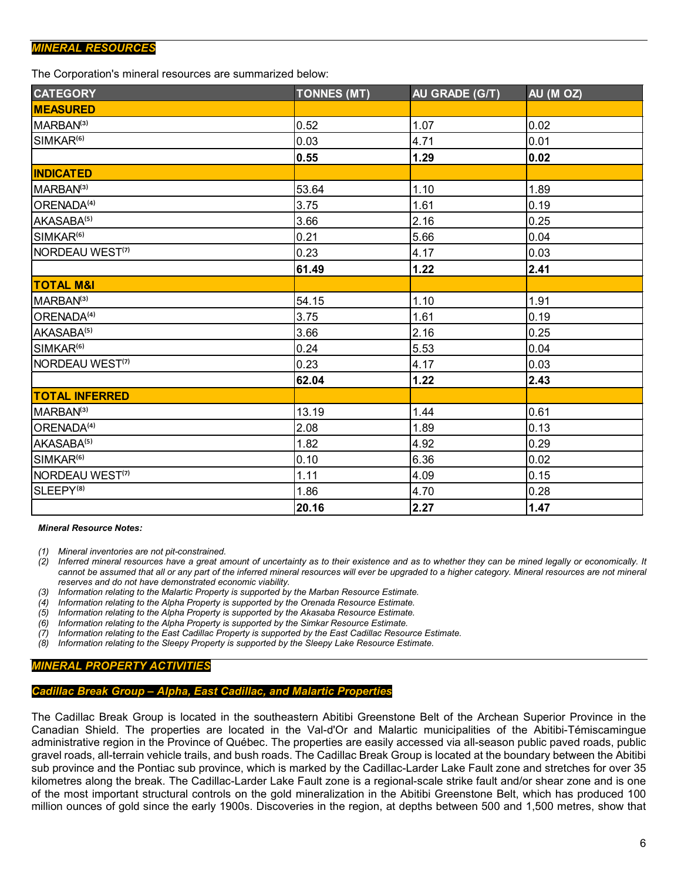### *MINERAL RESOURCES*

The Corporation's mineral resources are summarized below:

| <b>CATEGORY</b>             | <b>TONNES (MT)</b> | AU GRADE (G/T) | AU (M OZ) |
|-----------------------------|--------------------|----------------|-----------|
| <b>MEASURED</b>             |                    |                |           |
| MARBAN <sup>(3)</sup>       | 0.52               | 1.07           | 0.02      |
| SIMKAR <sup>(6)</sup>       | 0.03               | 4.71           | 0.01      |
|                             | 0.55               | 1.29           | 0.02      |
| <b>INDICATED</b>            |                    |                |           |
| MARBAN <sup>(3)</sup>       | 53.64              | 1.10           | 1.89      |
| ORENADA <sup>(4)</sup>      | 3.75               | 1.61           | 0.19      |
| AKASABA <sup>(5)</sup>      | 3.66               | 2.16           | 0.25      |
| SIMKAR <sup>(6)</sup>       | 0.21               | 5.66           | 0.04      |
| NORDEAU WEST <sup>(7)</sup> | 0.23               | 4.17           | 0.03      |
|                             | 61.49              | 1.22           | 2.41      |
| <b>TOTAL M&amp;I</b>        |                    |                |           |
| MARBAN <sup>(3)</sup>       | 54.15              | 1.10           | 1.91      |
| ORENADA <sup>(4)</sup>      | 3.75               | 1.61           | 0.19      |
| AKASABA <sup>(5)</sup>      | 3.66               | 2.16           | 0.25      |
| SIMKAR <sup>(6)</sup>       | 0.24               | 5.53           | 0.04      |
| NORDEAU WEST <sup>(7)</sup> | 0.23               | 4.17           | 0.03      |
|                             | 62.04              | 1.22           | 2.43      |
| <b>TOTAL INFERRED</b>       |                    |                |           |
| MARBAN <sup>(3)</sup>       | 13.19              | 1.44           | 0.61      |
| ORENADA <sup>(4)</sup>      | 2.08               | 1.89           | 0.13      |
| AKASABA <sup>(5)</sup>      | 1.82               | 4.92           | 0.29      |
| SIMKAR <sup>(6)</sup>       | 0.10               | 6.36           | 0.02      |
| NORDEAU WEST <sup>(7)</sup> | 1.11               | 4.09           | 0.15      |
| SLEEPY <sup>(8)</sup>       | 1.86               | 4.70           | 0.28      |
|                             | 20.16              | 2.27           | 1.47      |

*Mineral Resource Notes:*

*(1) Mineral inventories are not pit-constrained.*

*(2) Inferred mineral resources have a great amount of uncertainty as to their existence and as to whether they can be mined legally or economically. It cannot be assumed that all or any part of the inferred mineral resources will ever be upgraded to a higher category. Mineral resources are not mineral reserves and do not have demonstrated economic viability.*

*(3) Information relating to the Malartic Property is supported by the Marban Resource Estimate. (4) Information relating to the Alpha Property is supported by the Orenada Resource Estimate.*

*(5) Information relating to the Alpha Property is supported by the Akasaba Resource Estimate.*

*(6) Information relating to the Alpha Property is supported by the Simkar Resource Estimate.*

*(7) Information relating to the East Cadillac Property is supported by the East Cadillac Resource Estimate.*

*(8) Information relating to the Sleepy Property is supported by the Sleepy Lake Resource Estimate.*

### *MINERAL PROPERTY ACTIVITIES*

#### *Cadillac Break Group – Alpha, East Cadillac, and Malartic Properties*

The Cadillac Break Group is located in the southeastern Abitibi Greenstone Belt of the Archean Superior Province in the Canadian Shield. The properties are located in the Val-d'Or and Malartic municipalities of the Abitibi-Témiscamingue administrative region in the Province of Québec. The properties are easily accessed via all-season public paved roads, public gravel roads, all-terrain vehicle trails, and bush roads. The Cadillac Break Group is located at the boundary between the Abitibi sub province and the Pontiac sub province, which is marked by the Cadillac-Larder Lake Fault zone and stretches for over 35 kilometres along the break. The Cadillac-Larder Lake Fault zone is a regional-scale strike fault and/or shear zone and is one of the most important structural controls on the gold mineralization in the Abitibi Greenstone Belt, which has produced 100 million ounces of gold since the early 1900s. Discoveries in the region, at depths between 500 and 1,500 metres, show that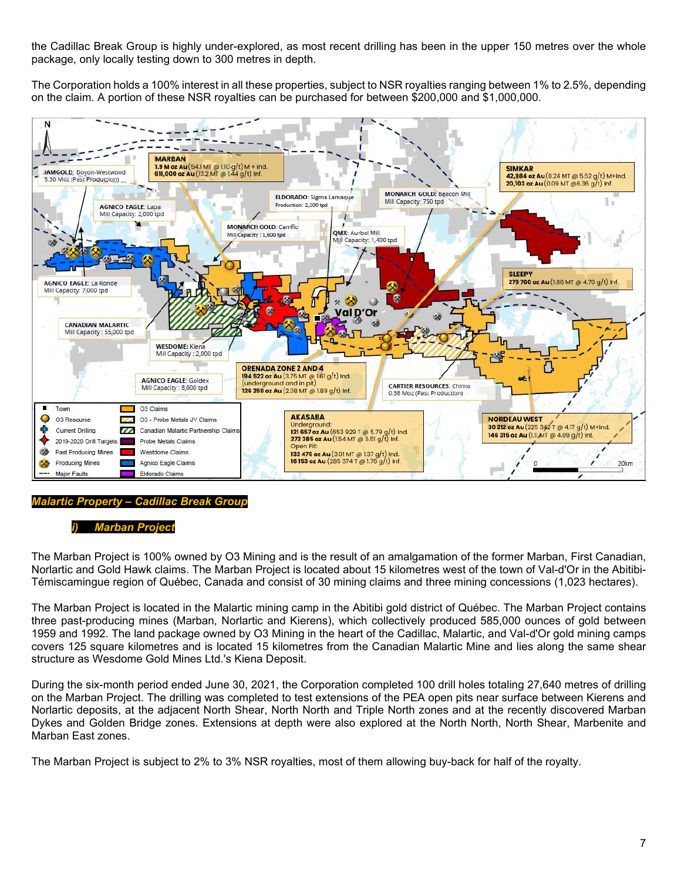the Cadillac Break Group is highly under-explored, as most recent drilling has been in the upper 150 metres over the whole package, only locally testing down to 300 metres in depth.

The Corporation holds a 100% interest in all these properties, subject to NSR royalties ranging between 1% to 2.5%, depending on the claim. A portion of these NSR royalties can be purchased for between \$200,000 and \$1,000,000.



*Malartic Property – Cadillac Break Group*

### *i) Marban Project*

The Marban Project is 100% owned by O3 Mining and is the result of an amalgamation of the former Marban, First Canadian, Norlartic and Gold Hawk claims. The Marban Project is located about 15 kilometres west of the town of Val-d'Or in the Abitibi-Témiscamingue region of Québec, Canada and consist of 30 mining claims and three mining concessions (1,023 hectares).

The Marban Project is located in the Malartic mining camp in the Abitibi gold district of Québec. The Marban Project contains three past-producing mines (Marban, Norlartic and Kierens), which collectively produced 585,000 ounces of gold between 1959 and 1992. The land package owned by O3 Mining in the heart of the Cadillac, Malartic, and Val-d'Or gold mining camps covers 125 square kilometres and is located 15 kilometres from the Canadian Malartic Mine and lies along the same shear structure as Wesdome Gold Mines Ltd.'s Kiena Deposit.

During the six-month period ended June 30, 2021, the Corporation completed 100 drill holes totaling 27,640 metres of drilling on the Marban Project. The drilling was completed to test extensions of the PEA open pits near surface between Kierens and Norlartic deposits, at the adjacent North Shear, North North and Triple North zones and at the recently discovered Marban Dykes and Golden Bridge zones. Extensions at depth were also explored at the North North, North Shear, Marbenite and Marban East zones.

The Marban Project is subject to 2% to 3% NSR royalties, most of them allowing buy-back for half of the royalty.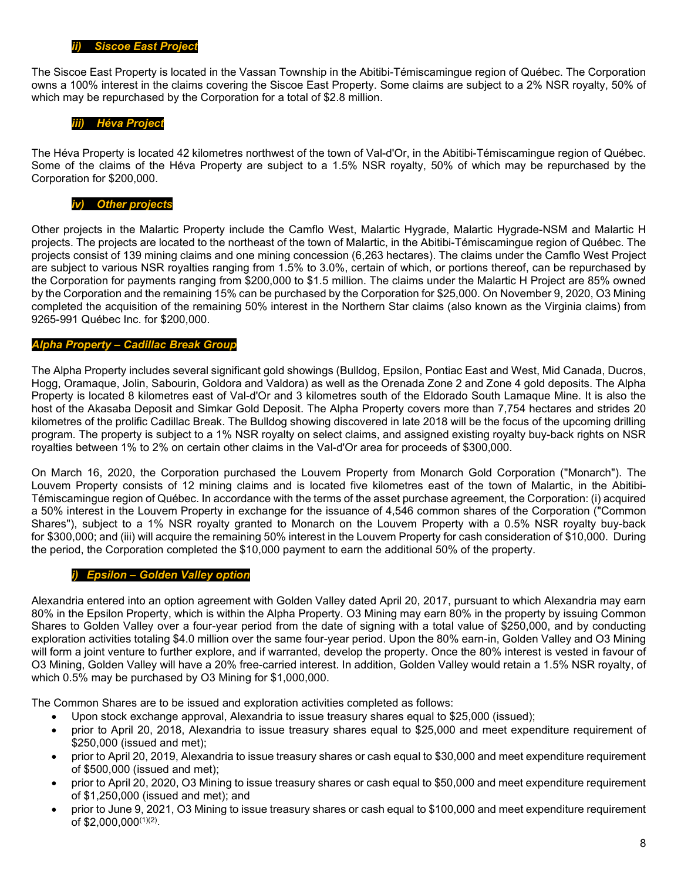### *ii) Siscoe East Project*

The Siscoe East Property is located in the Vassan Township in the Abitibi-Témiscamingue region of Québec. The Corporation owns a 100% interest in the claims covering the Siscoe East Property. Some claims are subject to a 2% NSR royalty, 50% of which may be repurchased by the Corporation for a total of \$2.8 million.

### *iii) Héva Project*

The Héva Property is located 42 kilometres northwest of the town of Val-d'Or, in the Abitibi-Témiscamingue region of Québec. Some of the claims of the Héva Property are subject to a 1.5% NSR royalty, 50% of which may be repurchased by the Corporation for \$200,000.

### *iv) Other projects*

Other projects in the Malartic Property include the Camflo West, Malartic Hygrade, Malartic Hygrade-NSM and Malartic H projects. The projects are located to the northeast of the town of Malartic, in the Abitibi-Témiscamingue region of Québec. The projects consist of 139 mining claims and one mining concession (6,263 hectares). The claims under the Camflo West Project are subject to various NSR royalties ranging from 1.5% to 3.0%, certain of which, or portions thereof, can be repurchased by the Corporation for payments ranging from \$200,000 to \$1.5 million. The claims under the Malartic H Project are 85% owned by the Corporation and the remaining 15% can be purchased by the Corporation for \$25,000. On November 9, 2020, O3 Mining completed the acquisition of the remaining 50% interest in the Northern Star claims (also known as the Virginia claims) from 9265-991 Québec Inc. for \$200,000.

## *Alpha Property – Cadillac Break Group*

The Alpha Property includes several significant gold showings (Bulldog, Epsilon, Pontiac East and West, Mid Canada, Ducros, Hogg, Oramaque, Jolin, Sabourin, Goldora and Valdora) as well as the Orenada Zone 2 and Zone 4 gold deposits. The Alpha Property is located 8 kilometres east of Val-d'Or and 3 kilometres south of the Eldorado South Lamaque Mine. It is also the host of the Akasaba Deposit and Simkar Gold Deposit. The Alpha Property covers more than 7,754 hectares and strides 20 kilometres of the prolific Cadillac Break. The Bulldog showing discovered in late 2018 will be the focus of the upcoming drilling program. The property is subject to a 1% NSR royalty on select claims, and assigned existing royalty buy-back rights on NSR royalties between 1% to 2% on certain other claims in the Val-d'Or area for proceeds of \$300,000.

On March 16, 2020, the Corporation purchased the Louvem Property from Monarch Gold Corporation ("Monarch"). The Louvem Property consists of 12 mining claims and is located five kilometres east of the town of Malartic, in the Abitibi-Témiscamingue region of Québec. In accordance with the terms of the asset purchase agreement, the Corporation: (i) acquired a 50% interest in the Louvem Property in exchange for the issuance of 4,546 common shares of the Corporation ("Common Shares"), subject to a 1% NSR royalty granted to Monarch on the Louvem Property with a 0.5% NSR royalty buy-back for \$300,000; and (iii) will acquire the remaining 50% interest in the Louvem Property for cash consideration of \$10,000. During the period, the Corporation completed the \$10,000 payment to earn the additional 50% of the property.

## *i) Epsilon – Golden Valley option*

Alexandria entered into an option agreement with Golden Valley dated April 20, 2017, pursuant to which Alexandria may earn 80% in the Epsilon Property, which is within the Alpha Property. O3 Mining may earn 80% in the property by issuing Common Shares to Golden Valley over a four-year period from the date of signing with a total value of \$250,000, and by conducting exploration activities totaling \$4.0 million over the same four-year period. Upon the 80% earn-in, Golden Valley and O3 Mining will form a joint venture to further explore, and if warranted, develop the property. Once the 80% interest is vested in favour of O3 Mining, Golden Valley will have a 20% free-carried interest. In addition, Golden Valley would retain a 1.5% NSR royalty, of which 0.5% may be purchased by O3 Mining for \$1,000,000.

The Common Shares are to be issued and exploration activities completed as follows:

- Upon stock exchange approval, Alexandria to issue treasury shares equal to \$25,000 (issued);
- prior to April 20, 2018, Alexandria to issue treasury shares equal to \$25,000 and meet expenditure requirement of \$250,000 (issued and met);
- prior to April 20, 2019, Alexandria to issue treasury shares or cash equal to \$30,000 and meet expenditure requirement of \$500,000 (issued and met);
- prior to April 20, 2020, O3 Mining to issue treasury shares or cash equal to \$50,000 and meet expenditure requirement of \$1,250,000 (issued and met); and
- prior to June 9, 2021, O3 Mining to issue treasury shares or cash equal to \$100,000 and meet expenditure requirement of \$2,000,000(1)(2) .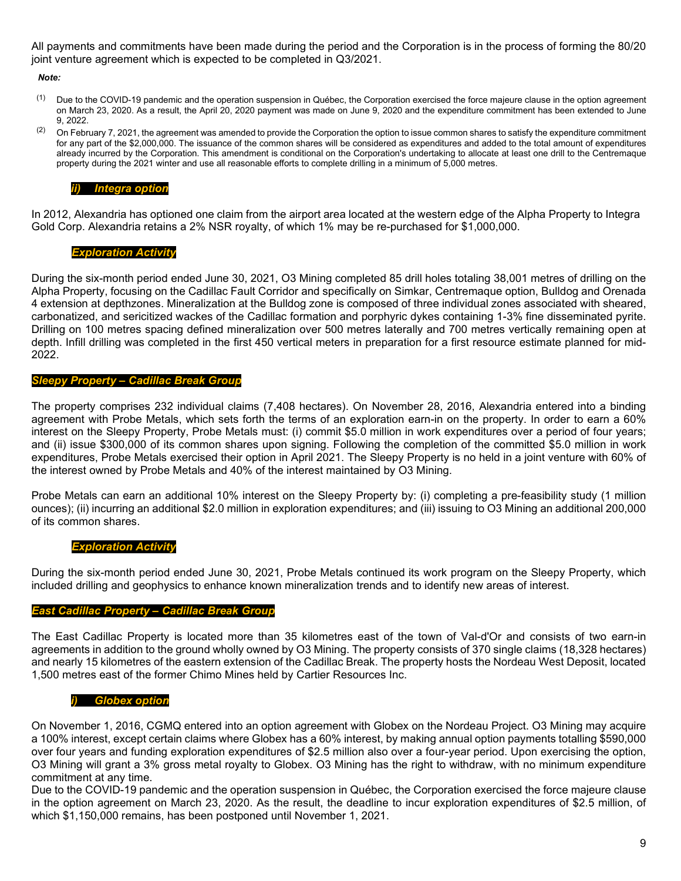All payments and commitments have been made during the period and the Corporation is in the process of forming the 80/20 joint venture agreement which is expected to be completed in Q3/2021.

#### *Note:*

- <sup>(1)</sup> Due to the COVID-19 pandemic and the operation suspension in Québec, the Corporation exercised the force majeure clause in the option agreement on March 23, 2020. As a result, the April 20, 2020 payment was made on June 9, 2020 and the expenditure commitment has been extended to June 9, 2022.
- (2) On February 7, 2021, the agreement was amended to provide the Corporation the option to issue common shares to satisfy the expenditure commitment for any part of the \$2,000,000. The issuance of the common shares will be considered as expenditures and added to the total amount of expenditures already incurred by the Corporation. This amendment is conditional on the Corporation's undertaking to allocate at least one drill to the Centremaque property during the 2021 winter and use all reasonable efforts to complete drilling in a minimum of 5,000 metres.

### *ii) Integra option*

In 2012, Alexandria has optioned one claim from the airport area located at the western edge of the Alpha Property to Integra Gold Corp. Alexandria retains a 2% NSR royalty, of which 1% may be re-purchased for \$1,000,000.

## *Exploration Activity*

During the six-month period ended June 30, 2021, O3 Mining completed 85 drill holes totaling 38,001 metres of drilling on the Alpha Property, focusing on the Cadillac Fault Corridor and specifically on Simkar, Centremaque option, Bulldog and Orenada 4 extension at depthzones. Mineralization at the Bulldog zone is composed of three individual zones associated with sheared, carbonatized, and sericitized wackes of the Cadillac formation and porphyric dykes containing 1-3% fine disseminated pyrite. Drilling on 100 metres spacing defined mineralization over 500 metres laterally and 700 metres vertically remaining open at depth. Infill drilling was completed in the first 450 vertical meters in preparation for a first resource estimate planned for mid-2022.

## *Sleepy Property – Cadillac Break Group*

The property comprises 232 individual claims (7,408 hectares). On November 28, 2016, Alexandria entered into a binding agreement with Probe Metals, which sets forth the terms of an exploration earn-in on the property. In order to earn a 60% interest on the Sleepy Property, Probe Metals must: (i) commit \$5.0 million in work expenditures over a period of four years; and (ii) issue \$300,000 of its common shares upon signing. Following the completion of the committed \$5.0 million in work expenditures, Probe Metals exercised their option in April 2021. The Sleepy Property is no held in a joint venture with 60% of the interest owned by Probe Metals and 40% of the interest maintained by O3 Mining.

Probe Metals can earn an additional 10% interest on the Sleepy Property by: (i) completing a pre-feasibility study (1 million ounces); (ii) incurring an additional \$2.0 million in exploration expenditures; and (iii) issuing to O3 Mining an additional 200,000 of its common shares.

### *Exploration Activity*

During the six-month period ended June 30, 2021, Probe Metals continued its work program on the Sleepy Property, which included drilling and geophysics to enhance known mineralization trends and to identify new areas of interest.

## *East Cadillac Property – Cadillac Break Group*

The East Cadillac Property is located more than 35 kilometres east of the town of Val-d'Or and consists of two earn-in agreements in addition to the ground wholly owned by O3 Mining. The property consists of 370 single claims (18,328 hectares) and nearly 15 kilometres of the eastern extension of the Cadillac Break. The property hosts the Nordeau West Deposit, located 1,500 metres east of the former Chimo Mines held by Cartier Resources Inc.

### *i) Globex option*

On November 1, 2016, CGMQ entered into an option agreement with Globex on the Nordeau Project. O3 Mining may acquire a 100% interest, except certain claims where Globex has a 60% interest, by making annual option payments totalling \$590,000 over four years and funding exploration expenditures of \$2.5 million also over a four-year period. Upon exercising the option, O3 Mining will grant a 3% gross metal royalty to Globex. O3 Mining has the right to withdraw, with no minimum expenditure commitment at any time.

Due to the COVID-19 pandemic and the operation suspension in Québec, the Corporation exercised the force majeure clause in the option agreement on March 23, 2020. As the result, the deadline to incur exploration expenditures of \$2.5 million, of which \$1,150,000 remains, has been postponed until November 1, 2021.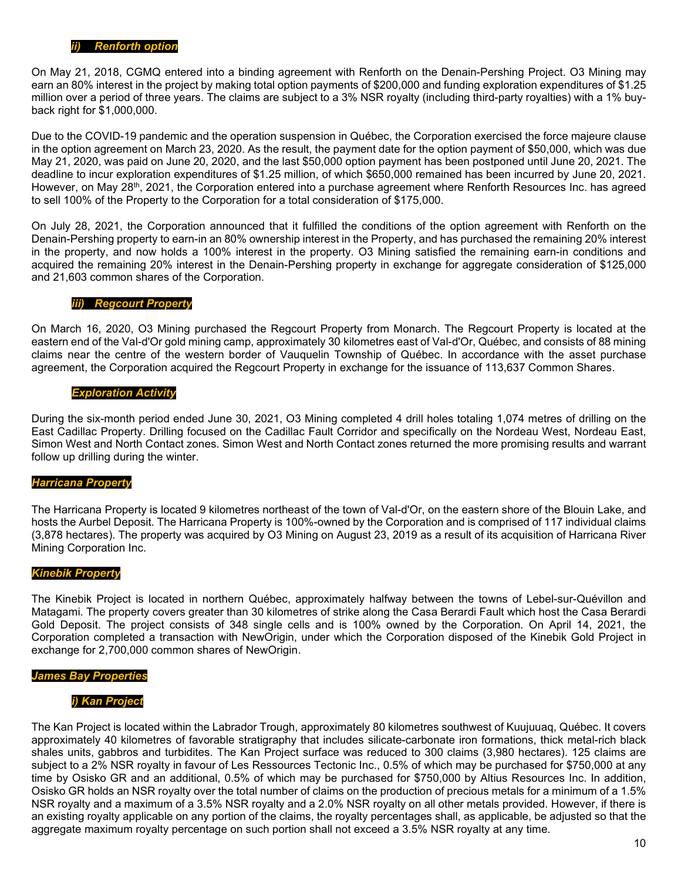On May 21, 2018, CGMQ entered into a binding agreement with Renforth on the Denain-Pershing Project. O3 Mining may earn an 80% interest in the project by making total option payments of \$200,000 and funding exploration expenditures of \$1.25 million over a period of three years. The claims are subject to a 3% NSR royalty (including third-party royalties) with a 1% buyback right for \$1,000,000.

Due to the COVID-19 pandemic and the operation suspension in Québec, the Corporation exercised the force majeure clause in the option agreement on March 23, 2020. As the result, the payment date for the option payment of \$50,000, which was due May 21, 2020, was paid on June 20, 2020, and the last \$50,000 option payment has been postponed until June 20, 2021. The deadline to incur exploration expenditures of \$1.25 million, of which \$650,000 remained has been incurred by June 20, 2021. However, on May 28<sup>th</sup>, 2021, the Corporation entered into a purchase agreement where Renforth Resources Inc. has agreed to sell 100% of the Property to the Corporation for a total consideration of \$175,000.

On July 28, 2021, the Corporation announced that it fulfilled the conditions of the option agreement with Renforth on the Denain-Pershing property to earn-in an 80% ownership interest in the Property, and has purchased the remaining 20% interest in the property, and now holds a 100% interest in the property. O3 Mining satisfied the remaining earn-in conditions and acquired the remaining 20% interest in the Denain-Pershing property in exchange for aggregate consideration of \$125,000 and 21,603 common shares of the Corporation.

### *iii) Regcourt Property*

On March 16, 2020, O3 Mining purchased the Regcourt Property from Monarch. The Regcourt Property is located at the eastern end of the Val-d'Or gold mining camp, approximately 30 kilometres east of Val-d'Or, Québec, and consists of 88 mining claims near the centre of the western border of Vauquelin Township of Québec. In accordance with the asset purchase agreement, the Corporation acquired the Regcourt Property in exchange for the issuance of 113,637 Common Shares.

#### *Exploration Activity*

During the six-month period ended June 30, 2021, O3 Mining completed 4 drill holes totaling 1,074 metres of drilling on the East Cadillac Property. Drilling focused on the Cadillac Fault Corridor and specifically on the Nordeau West, Nordeau East, Simon West and North Contact zones. Simon West and North Contact zones returned the more promising results and warrant follow up drilling during the winter.

#### *Harricana Property*

The Harricana Property is located 9 kilometres northeast of the town of Val-d'Or, on the eastern shore of the Blouin Lake, and hosts the Aurbel Deposit. The Harricana Property is 100%-owned by the Corporation and is comprised of 117 individual claims (3,878 hectares). The property was acquired by O3 Mining on August 23, 2019 as a result of its acquisition of Harricana River Mining Corporation Inc.

### *Kinebik Property*

The Kinebik Project is located in northern Québec, approximately halfway between the towns of Lebel-sur-Quévillon and Matagami. The property covers greater than 30 kilometres of strike along the Casa Berardi Fault which host the Casa Berardi Gold Deposit. The project consists of 348 single cells and is 100% owned by the Corporation. On April 14, 2021, the Corporation completed a transaction with NewOrigin, under which the Corporation disposed of the Kinebik Gold Project in exchange for 2,700,000 common shares of NewOrigin.

#### *James Bay Properties*

#### *i) Kan Project*

The Kan Project is located within the Labrador Trough, approximately 80 kilometres southwest of Kuujuuaq, Québec. It covers approximately 40 kilometres of favorable stratigraphy that includes silicate-carbonate iron formations, thick metal-rich black shales units, gabbros and turbidites. The Kan Project surface was reduced to 300 claims (3,980 hectares). 125 claims are subject to a 2% NSR royalty in favour of Les Ressources Tectonic Inc., 0.5% of which may be purchased for \$750,000 at any time by Osisko GR and an additional, 0.5% of which may be purchased for \$750,000 by Altius Resources Inc. In addition, Osisko GR holds an NSR royalty over the total number of claims on the production of precious metals for a minimum of a 1.5% NSR royalty and a maximum of a 3.5% NSR royalty and a 2.0% NSR royalty on all other metals provided. However, if there is an existing royalty applicable on any portion of the claims, the royalty percentages shall, as applicable, be adjusted so that the aggregate maximum royalty percentage on such portion shall not exceed a 3.5% NSR royalty at any time.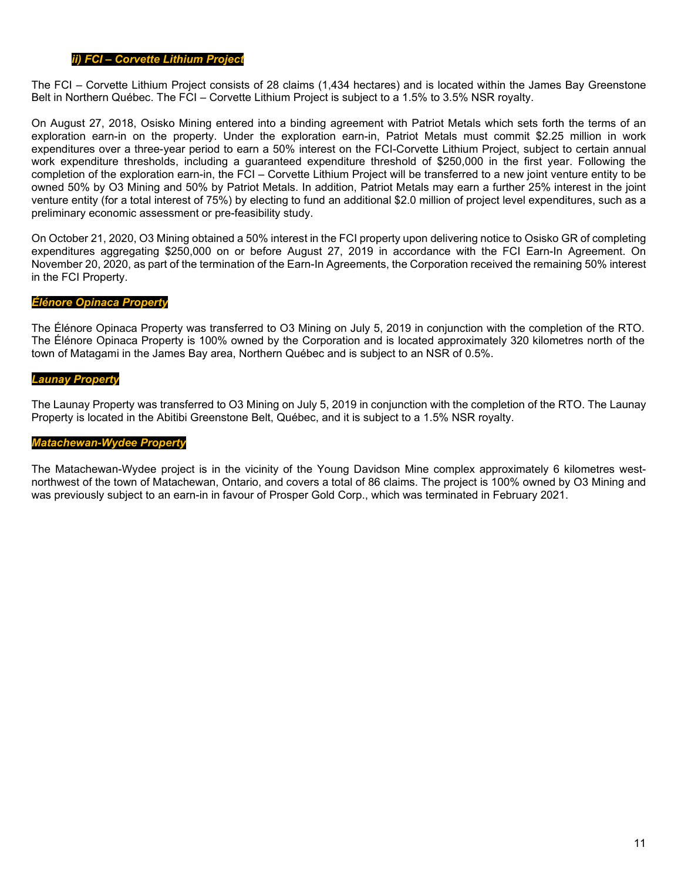### *ii) FCI – Corvette Lithium Project*

The FCI – Corvette Lithium Project consists of 28 claims (1,434 hectares) and is located within the James Bay Greenstone Belt in Northern Québec. The FCI – Corvette Lithium Project is subject to a 1.5% to 3.5% NSR royalty.

On August 27, 2018, Osisko Mining entered into a binding agreement with Patriot Metals which sets forth the terms of an exploration earn-in on the property. Under the exploration earn-in, Patriot Metals must commit \$2.25 million in work expenditures over a three-year period to earn a 50% interest on the FCI-Corvette Lithium Project, subject to certain annual work expenditure thresholds, including a guaranteed expenditure threshold of \$250,000 in the first year. Following the completion of the exploration earn-in, the FCI – Corvette Lithium Project will be transferred to a new joint venture entity to be owned 50% by O3 Mining and 50% by Patriot Metals. In addition, Patriot Metals may earn a further 25% interest in the joint venture entity (for a total interest of 75%) by electing to fund an additional \$2.0 million of project level expenditures, such as a preliminary economic assessment or pre-feasibility study.

On October 21, 2020, O3 Mining obtained a 50% interest in the FCI property upon delivering notice to Osisko GR of completing expenditures aggregating \$250,000 on or before August 27, 2019 in accordance with the FCI Earn-In Agreement. On November 20, 2020, as part of the termination of the Earn-In Agreements, the Corporation received the remaining 50% interest in the FCI Property.

### *Élénore Opinaca Property*

The Élénore Opinaca Property was transferred to O3 Mining on July 5, 2019 in conjunction with the completion of the RTO. The Élénore Opinaca Property is 100% owned by the Corporation and is located approximately 320 kilometres north of the town of Matagami in the James Bay area, Northern Québec and is subject to an NSR of 0.5%.

### *Launay Property*

The Launay Property was transferred to O3 Mining on July 5, 2019 in conjunction with the completion of the RTO. The Launay Property is located in the Abitibi Greenstone Belt, Québec, and it is subject to a 1.5% NSR royalty.

### *Matachewan-Wydee Property*

The Matachewan-Wydee project is in the vicinity of the Young Davidson Mine complex approximately 6 kilometres westnorthwest of the town of Matachewan, Ontario, and covers a total of 86 claims. The project is 100% owned by O3 Mining and was previously subject to an earn-in in favour of Prosper Gold Corp., which was terminated in February 2021.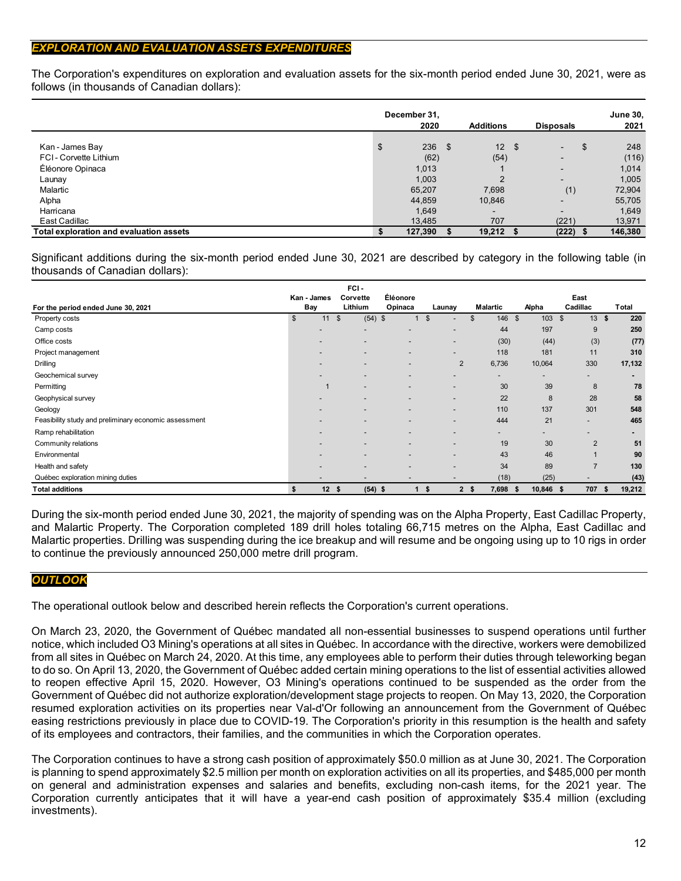## *EXPLORATION AND EVALUATION ASSETS EXPENDITURES*

The Corporation's expenditures on exploration and evaluation assets for the six-month period ended June 30, 2021, were as follows (in thousands of Canadian dollars):

|                                         |    | December 31,<br>2020 |                          | <b>Additions</b> | <b>Disposals</b> | <b>June 30,</b><br>2021 |
|-----------------------------------------|----|----------------------|--------------------------|------------------|------------------|-------------------------|
| Kan - James Bay                         | \$ | 236                  | $\overline{\phantom{a}}$ | 12S              | ۰.               | \$<br>248               |
| FCI - Corvette Lithium                  |    | (62)                 |                          | (54)             | ۰.               | (116)                   |
| Éléonore Opinaca                        |    | 1,013                |                          |                  | ۰.               | 1,014                   |
| Launay                                  |    | 1,003                |                          | າ                | ۰.               | 1,005                   |
| Malartic                                |    | 65,207               |                          | 7,698            | (1)              | 72,904                  |
| Alpha                                   |    | 44,859               |                          | 10,846           | $\blacksquare$   | 55,705                  |
| Harricana                               |    | 1,649                |                          | $\blacksquare$   | ۰.               | 1,649                   |
| East Cadillac                           |    | 13,485               |                          | 707              | (221)            | 13,971                  |
| Total exploration and evaluation assets | S  | 127,390              |                          | 19,212           | (222)            | 146,380                 |

Significant additions during the six-month period ended June 30, 2021 are described by category in the following table (in thousands of Canadian dollars):

| For the period ended June 30, 2021                    | Kan - James<br>Bay |                          | FCI-<br>Corvette<br>Lithium | Éléonore<br>Opinaca      |    | Launay                   | Malartic       |                          |          | Alpha                    | East<br>Cadillac         |     | Total  |
|-------------------------------------------------------|--------------------|--------------------------|-----------------------------|--------------------------|----|--------------------------|----------------|--------------------------|----------|--------------------------|--------------------------|-----|--------|
| Property costs                                        | \$                 | 11                       | \$<br>$(54)$ \$             |                          | \$ |                          | \$             | 146                      | <b>S</b> | 103                      | 13<br>\$                 | S.  | 220    |
| Camp costs                                            |                    | $\overline{\phantom{0}}$ | $\overline{\phantom{0}}$    |                          |    | $\overline{\phantom{0}}$ |                | 44                       |          | 197                      | 9                        |     | 250    |
| Office costs                                          |                    | $\overline{\phantom{0}}$ |                             |                          |    | $\overline{\phantom{0}}$ |                | (30)                     |          | (44)                     | (3)                      |     | (77)   |
| Project management                                    |                    | $\overline{\phantom{0}}$ | $\overline{a}$              |                          |    | $\overline{\phantom{0}}$ |                | 118                      |          | 181                      | 11                       |     | 310    |
| Drilling                                              |                    | $\overline{\phantom{0}}$ | $\overline{\phantom{0}}$    | $\overline{\phantom{0}}$ |    | $\overline{2}$           |                | 6,736                    |          | 10,064                   | 330                      |     | 17,132 |
| Geochemical survey                                    |                    |                          |                             |                          |    |                          |                | -                        |          | -                        | $\overline{\phantom{0}}$ |     |        |
| Permitting                                            |                    | $\mathbf 1$              | $\overline{\phantom{0}}$    |                          |    | $\overline{\phantom{a}}$ |                | 30                       |          | 39                       | 8                        |     | 78     |
| Geophysical survey                                    |                    |                          | $\overline{\phantom{a}}$    |                          |    | $\overline{\phantom{a}}$ |                | 22                       |          | 8                        | 28                       |     | 58     |
| Geology                                               |                    |                          |                             |                          |    | $\overline{\phantom{a}}$ |                | 110                      |          | 137                      | 301                      |     | 548    |
| Feasibility study and preliminary economic assessment |                    | $\overline{\phantom{0}}$ | $\overline{\phantom{0}}$    |                          |    | $\overline{\phantom{0}}$ |                | 444                      |          | 21                       | $\overline{\phantom{0}}$ |     | 465    |
| Ramp rehabilitation                                   |                    | $\overline{\phantom{0}}$ | $\overline{\phantom{0}}$    |                          |    | $\overline{\phantom{0}}$ |                | $\overline{\phantom{0}}$ |          | $\overline{\phantom{a}}$ | $\overline{\phantom{a}}$ |     |        |
| Community relations                                   |                    |                          |                             |                          |    | $\overline{\phantom{0}}$ |                | 19                       |          | 30                       | $\overline{2}$           |     | 51     |
| Environmental                                         |                    |                          | $\overline{\phantom{0}}$    |                          |    | $\overline{\phantom{0}}$ |                | 43                       |          | 46                       |                          |     | 90     |
| Health and safety                                     |                    |                          |                             |                          |    | $\overline{\phantom{0}}$ |                | 34                       |          | 89                       | $\overline{7}$           |     | 130    |
| Québec exploration mining duties                      |                    |                          |                             |                          |    |                          |                | (18)                     |          | (25)                     |                          |     | (43)   |
| <b>Total additions</b>                                | \$                 | 12 <sup>12</sup><br>-\$  | $(54)$ \$                   | 1                        | Ŝ. |                          | 2 <sup>5</sup> | 7,698                    | -S       | 10,846                   | 707<br>- \$              | 55. | 19,212 |

During the six-month period ended June 30, 2021, the majority of spending was on the Alpha Property, East Cadillac Property, and Malartic Property. The Corporation completed 189 drill holes totaling 66,715 metres on the Alpha, East Cadillac and Malartic properties. Drilling was suspending during the ice breakup and will resume and be ongoing using up to 10 rigs in order to continue the previously announced 250,000 metre drill program.

### *OUTLOOK*

The operational outlook below and described herein reflects the Corporation's current operations.

On March 23, 2020, the Government of Québec mandated all non-essential businesses to suspend operations until further notice, which included O3 Mining's operations at all sites in Québec. In accordance with the directive, workers were demobilized from all sites in Québec on March 24, 2020. At this time, any employees able to perform their duties through teleworking began to do so. On April 13, 2020, the Government of Québec added certain mining operations to the list of essential activities allowed to reopen effective April 15, 2020. However, O3 Mining's operations continued to be suspended as the order from the Government of Québec did not authorize exploration/development stage projects to reopen. On May 13, 2020, the Corporation resumed exploration activities on its properties near Val-d'Or following an announcement from the Government of Québec easing restrictions previously in place due to COVID-19. The Corporation's priority in this resumption is the health and safety of its employees and contractors, their families, and the communities in which the Corporation operates.

The Corporation continues to have a strong cash position of approximately \$50.0 million as at June 30, 2021. The Corporation is planning to spend approximately \$2.5 million per month on exploration activities on all its properties, and \$485,000 per month on general and administration expenses and salaries and benefits, excluding non-cash items, for the 2021 year. The Corporation currently anticipates that it will have a year-end cash position of approximately \$35.4 million (excluding investments).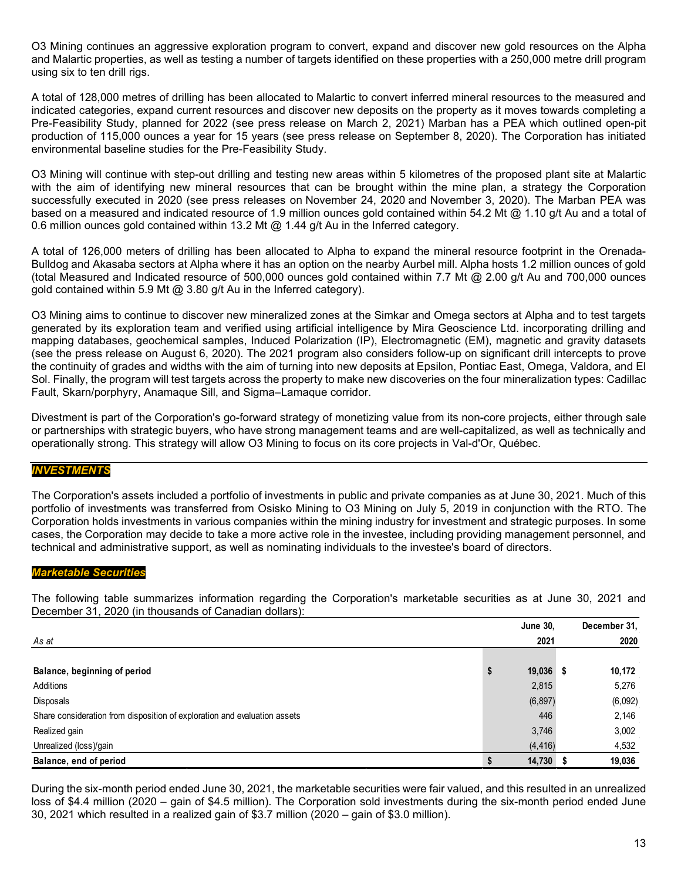O3 Mining continues an aggressive exploration program to convert, expand and discover new gold resources on the Alpha and Malartic properties, as well as testing a number of targets identified on these properties with a 250,000 metre drill program using six to ten drill rigs.

A total of 128,000 metres of drilling has been allocated to Malartic to convert inferred mineral resources to the measured and indicated categories, expand current resources and discover new deposits on the property as it moves towards completing a Pre-Feasibility Study, planned for 2022 (see press release on March 2, 2021) Marban has a PEA which outlined open-pit production of 115,000 ounces a year for 15 years (see press release on September 8, 2020). The Corporation has initiated environmental baseline studies for the Pre-Feasibility Study.

O3 Mining will continue with step-out drilling and testing new areas within 5 kilometres of the proposed plant site at Malartic with the aim of identifying new mineral resources that can be brought within the mine plan, a strategy the Corporation successfully executed in 2020 (see press releases on [November 24, 2020](https://o3mining.com/news/o3-mining-intersects-383-4-g-t-au-over-2-0-metres-including-1510-g-t-au-over-0-5-metres-at-marban-project/) and [November 3, 2020\)](https://o3mining.com/news/o3-mining-intersects-2-9-g-t-au-over-14-2-metres-near-surface-and-145-metres-outside-of-pit-shell-at-marban-project/). The Marban PEA was based on a measured and indicated resource of 1.9 million ounces gold contained within 54.2 Mt @ 1.10 g/t Au and a total of 0.6 million ounces gold contained within 13.2 Mt @ 1.44 g/t Au in the Inferred category.

A total of 126,000 meters of drilling has been allocated to Alpha to expand the mineral resource footprint in the Orenada-Bulldog and Akasaba sectors at Alpha where it has an option on the nearby Aurbel mill. Alpha hosts 1.2 million ounces of gold (total Measured and Indicated resource of 500,000 ounces gold contained within 7.7 Mt @ 2.00 g/t Au and 700,000 ounces gold contained within 5.9 Mt @ 3.80 g/t Au in the Inferred category).

O3 Mining aims to continue to discover new mineralized zones at the Simkar and Omega sectors at Alpha and to test targets generated by its exploration team and verified using artificial intelligence by Mira Geoscience Ltd. incorporating drilling and mapping databases, geochemical samples, Induced Polarization (IP), Electromagnetic (EM), magnetic and gravity datasets (see [the press release](https://o3mining.com/news/o3-mining-identifies-over-25-targets-using-artificial-intelligence-on-alpha-property/) on August 6, 2020). The 2021 program also considers follow-up on significant drill intercepts to prove the continuity of grades and widths with the aim of turning into new deposits at Epsilon, Pontiac East, Omega, Valdora, and El Sol. Finally, the program will test targets across the property to make new discoveries on the four mineralization types: Cadillac Fault, Skarn/porphyry, Anamaque Sill, and Sigma–Lamaque corridor.

Divestment is part of the Corporation's go-forward strategy of monetizing value from its non-core projects, either through sale or partnerships with strategic buyers, who have strong management teams and are well-capitalized, as well as technically and operationally strong. This strategy will allow O3 Mining to focus on its core projects in Val-d'Or, Québec.

## *INVESTMENTS*

The Corporation's assets included a portfolio of investments in public and private companies as at June 30, 2021. Much of this portfolio of investments was transferred from Osisko Mining to O3 Mining on July 5, 2019 in conjunction with the RTO. The Corporation holds investments in various companies within the mining industry for investment and strategic purposes. In some cases, the Corporation may decide to take a more active role in the investee, including providing management personnel, and technical and administrative support, as well as nominating individuals to the investee's board of directors.

### *Marketable Securities*

The following table summarizes information regarding the Corporation's marketable securities as at June 30, 2021 and December 31, 2020 (in thousands of Canadian dollars):

|                                                                           | <b>June 30.</b> | December 31. |
|---------------------------------------------------------------------------|-----------------|--------------|
| As at                                                                     | 2021            | 2020         |
|                                                                           |                 |              |
| Balance, beginning of period                                              | 19,036<br>\$    | 10,172<br>-5 |
| Additions                                                                 | 2,815           | 5,276        |
| <b>Disposals</b>                                                          | (6, 897)        | (6,092)      |
| Share consideration from disposition of exploration and evaluation assets | 446             | 2,146        |
| Realized gain                                                             | 3,746           | 3,002        |
| Unrealized (loss)/gain                                                    | (4, 416)        | 4,532        |
| Balance, end of period                                                    | 14,730          | 19,036       |

During the six-month period ended June 30, 2021, the marketable securities were fair valued, and this resulted in an unrealized loss of \$4.4 million (2020 – gain of \$4.5 million). The Corporation sold investments during the six-month period ended June 30, 2021 which resulted in a realized gain of \$3.7 million (2020 – gain of \$3.0 million).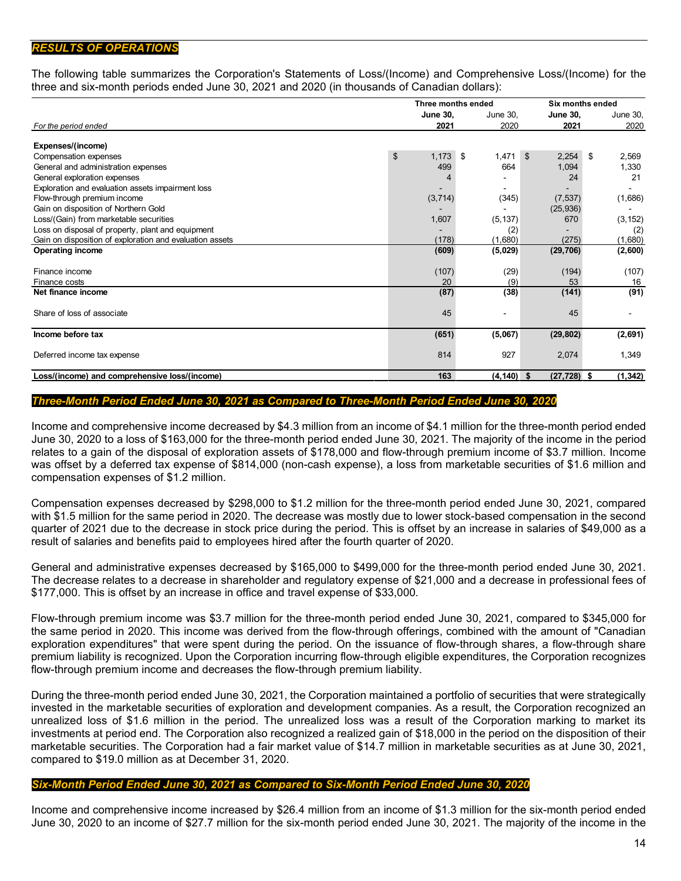### *RESULTS OF OPERATIONS*

The following table summarizes the Corporation's Statements of Loss/(Income) and Comprehensive Loss/(Income) for the three and six-month periods ended June 30, 2021 and 2020 (in thousands of Canadian dollars):

|                                                          | Three months ended |               | <b>Six months ended</b> |             |
|----------------------------------------------------------|--------------------|---------------|-------------------------|-------------|
|                                                          | <b>June 30,</b>    | June 30,      | <b>June 30,</b>         | June 30,    |
| For the period ended                                     | 2021               | 2020          | 2021                    | 2020        |
|                                                          |                    |               |                         |             |
| Expenses/(income)                                        |                    |               |                         |             |
| Compensation expenses                                    | \$<br>1,173        | - \$<br>1,471 | $\mathfrak{S}$<br>2,254 | \$<br>2,569 |
| General and administration expenses                      | 499                | 664           | 1,094                   | 1,330       |
| General exploration expenses                             |                    |               | 24                      | 21          |
| Exploration and evaluation assets impairment loss        |                    |               |                         |             |
| Flow-through premium income                              | (3,714)            | (345)         | (7, 537)                | (1,686)     |
| Gain on disposition of Northern Gold                     |                    |               | (25, 936)               |             |
| Loss/(Gain) from marketable securities                   | 1,607              | (5, 137)      | 670                     | (3, 152)    |
| Loss on disposal of property, plant and equipment        |                    | (2)           |                         | (2)         |
| Gain on disposition of exploration and evaluation assets | (178)              | (1,680)       | (275)                   | (1,680)     |
| <b>Operating income</b>                                  | (609)              | (5,029)       | (29, 706)               | (2,600)     |
|                                                          |                    |               |                         |             |
| Finance income                                           | (107)              | (29)          | (194)                   | (107)       |
| Finance costs                                            | 20                 | (9)           | 53                      | 16          |
| Net finance income                                       | (87)               | (38)          | (141)                   | (91)        |
|                                                          |                    |               |                         |             |
| Share of loss of associate                               | 45                 |               | 45                      |             |
| Income before tax                                        | (651)              | (5,067)       | (29, 802)               | (2,691)     |
|                                                          | 814                | 927           |                         | 1,349       |
| Deferred income tax expense                              |                    |               | 2,074                   |             |
| Loss/(income) and comprehensive loss/(income)            | 163                | (4, 140)      | $(27, 728)$ \$<br>-S    | (1, 342)    |

### *Three-Month Period Ended June 30, 2021 as Compared to Three-Month Period Ended June 30, 2020*

Income and comprehensive income decreased by \$4.3 million from an income of \$4.1 million for the three-month period ended June 30, 2020 to a loss of \$163,000 for the three-month period ended June 30, 2021. The majority of the income in the period relates to a gain of the disposal of exploration assets of \$178,000 and flow-through premium income of \$3.7 million. Income was offset by a deferred tax expense of \$814,000 (non-cash expense), a loss from marketable securities of \$1.6 million and compensation expenses of \$1.2 million.

Compensation expenses decreased by \$298,000 to \$1.2 million for the three-month period ended June 30, 2021, compared with \$1.5 million for the same period in 2020. The decrease was mostly due to lower stock-based compensation in the second quarter of 2021 due to the decrease in stock price during the period. This is offset by an increase in salaries of \$49,000 as a result of salaries and benefits paid to employees hired after the fourth quarter of 2020.

General and administrative expenses decreased by \$165,000 to \$499,000 for the three-month period ended June 30, 2021. The decrease relates to a decrease in shareholder and regulatory expense of \$21,000 and a decrease in professional fees of \$177,000. This is offset by an increase in office and travel expense of \$33,000.

Flow-through premium income was \$3.7 million for the three-month period ended June 30, 2021, compared to \$345,000 for the same period in 2020. This income was derived from the flow-through offerings, combined with the amount of "Canadian exploration expenditures" that were spent during the period. On the issuance of flow-through shares, a flow-through share premium liability is recognized. Upon the Corporation incurring flow-through eligible expenditures, the Corporation recognizes flow-through premium income and decreases the flow-through premium liability.

During the three-month period ended June 30, 2021, the Corporation maintained a portfolio of securities that were strategically invested in the marketable securities of exploration and development companies. As a result, the Corporation recognized an unrealized loss of \$1.6 million in the period. The unrealized loss was a result of the Corporation marking to market its investments at period end. The Corporation also recognized a realized gain of \$18,000 in the period on the disposition of their marketable securities. The Corporation had a fair market value of \$14.7 million in marketable securities as at June 30, 2021, compared to \$19.0 million as at December 31, 2020.

### *Six-Month Period Ended June 30, 2021 as Compared to Six-Month Period Ended June 30, 2020*

Income and comprehensive income increased by \$26.4 million from an income of \$1.3 million for the six-month period ended June 30, 2020 to an income of \$27.7 million for the six-month period ended June 30, 2021. The majority of the income in the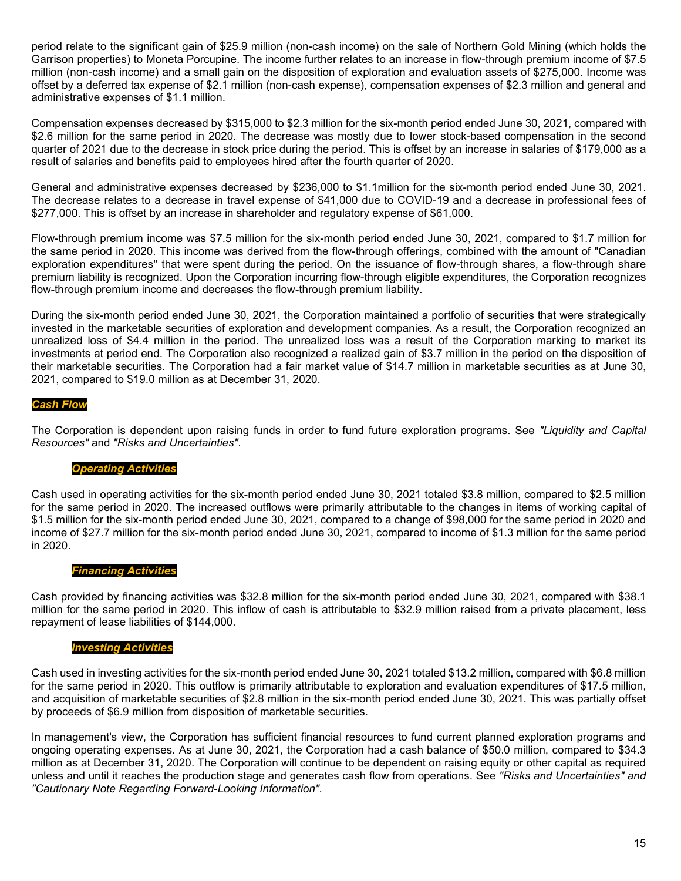period relate to the significant gain of \$25.9 million (non-cash income) on the sale of Northern Gold Mining (which holds the Garrison properties) to Moneta Porcupine. The income further relates to an increase in flow-through premium income of \$7.5 million (non-cash income) and a small gain on the disposition of exploration and evaluation assets of \$275,000. Income was offset by a deferred tax expense of \$2.1 million (non-cash expense), compensation expenses of \$2.3 million and general and administrative expenses of \$1.1 million.

Compensation expenses decreased by \$315,000 to \$2.3 million for the six-month period ended June 30, 2021, compared with \$2.6 million for the same period in 2020. The decrease was mostly due to lower stock-based compensation in the second quarter of 2021 due to the decrease in stock price during the period. This is offset by an increase in salaries of \$179,000 as a result of salaries and benefits paid to employees hired after the fourth quarter of 2020.

General and administrative expenses decreased by \$236,000 to \$1.1million for the six-month period ended June 30, 2021. The decrease relates to a decrease in travel expense of \$41,000 due to COVID-19 and a decrease in professional fees of \$277,000. This is offset by an increase in shareholder and regulatory expense of \$61,000.

Flow-through premium income was \$7.5 million for the six-month period ended June 30, 2021, compared to \$1.7 million for the same period in 2020. This income was derived from the flow-through offerings, combined with the amount of "Canadian exploration expenditures" that were spent during the period. On the issuance of flow-through shares, a flow-through share premium liability is recognized. Upon the Corporation incurring flow-through eligible expenditures, the Corporation recognizes flow-through premium income and decreases the flow-through premium liability.

During the six-month period ended June 30, 2021, the Corporation maintained a portfolio of securities that were strategically invested in the marketable securities of exploration and development companies. As a result, the Corporation recognized an unrealized loss of \$4.4 million in the period. The unrealized loss was a result of the Corporation marking to market its investments at period end. The Corporation also recognized a realized gain of \$3.7 million in the period on the disposition of their marketable securities. The Corporation had a fair market value of \$14.7 million in marketable securities as at June 30, 2021, compared to \$19.0 million as at December 31, 2020.

## *Cash Flow*

The Corporation is dependent upon raising funds in order to fund future exploration programs. See *"Liquidity and Capital Resources"* and *"Risks and Uncertainties"*.

### *Operating Activities*

Cash used in operating activities for the six-month period ended June 30, 2021 totaled \$3.8 million, compared to \$2.5 million for the same period in 2020. The increased outflows were primarily attributable to the changes in items of working capital of \$1.5 million for the six-month period ended June 30, 2021, compared to a change of \$98,000 for the same period in 2020 and income of \$27.7 million for the six-month period ended June 30, 2021, compared to income of \$1.3 million for the same period in 2020.

#### *Financing Activities*

Cash provided by financing activities was \$32.8 million for the six-month period ended June 30, 2021, compared with \$38.1 million for the same period in 2020. This inflow of cash is attributable to \$32.9 million raised from a private placement, less repayment of lease liabilities of \$144,000.

#### *Investing Activities*

Cash used in investing activities for the six-month period ended June 30, 2021 totaled \$13.2 million, compared with \$6.8 million for the same period in 2020. This outflow is primarily attributable to exploration and evaluation expenditures of \$17.5 million, and acquisition of marketable securities of \$2.8 million in the six-month period ended June 30, 2021. This was partially offset by proceeds of \$6.9 million from disposition of marketable securities.

In management's view, the Corporation has sufficient financial resources to fund current planned exploration programs and ongoing operating expenses. As at June 30, 2021, the Corporation had a cash balance of \$50.0 million, compared to \$34.3 million as at December 31, 2020. The Corporation will continue to be dependent on raising equity or other capital as required unless and until it reaches the production stage and generates cash flow from operations. See *"Risks and Uncertainties" and "Cautionary Note Regarding Forward-Looking Information"*.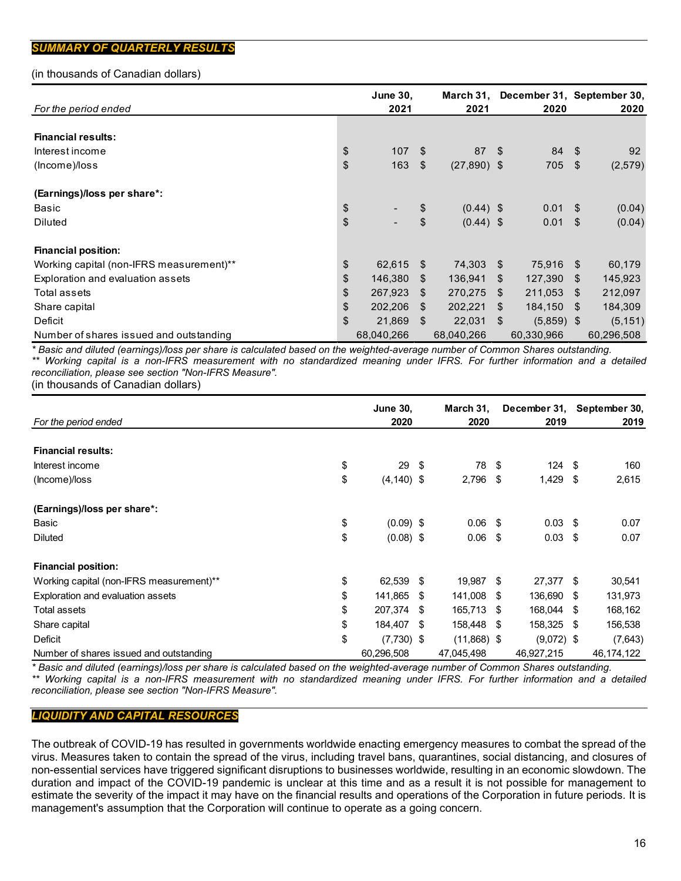## *SUMMARY OF QUARTERLY RESULTS*

### (in thousands of Canadian dollars)

|                                          | <b>June 30,</b> |     | March 31,     |      | December 31, September 30, |               |
|------------------------------------------|-----------------|-----|---------------|------|----------------------------|---------------|
| For the period ended                     | 2021            |     | 2021          |      | 2020                       | 2020          |
|                                          |                 |     |               |      |                            |               |
| <b>Financial results:</b>                |                 |     |               |      |                            |               |
| Interest income                          | \$<br>107       | \$  | 87            | - \$ | 84 \$                      | 92            |
| (Income)/loss                            | \$<br>163       | \$  | $(27,890)$ \$ |      | 705 \$                     | (2,579)       |
| (Earnings)/loss per share*:              |                 |     |               |      |                            |               |
| Basic                                    | \$              | \$  | $(0.44)$ \$   |      | 0.01                       | \$<br>(0.04)  |
| <b>Diluted</b>                           | \$              | \$  | $(0.44)$ \$   |      | 0.01                       | \$<br>(0.04)  |
| <b>Financial position:</b>               |                 |     |               |      |                            |               |
| Working capital (non-IFRS measurement)** | \$<br>62,615    | \$  | 74,303 \$     |      | 75,916                     | \$<br>60,179  |
| Exploration and evaluation assets        | \$<br>146,380   | \$  | 136,941       | \$.  | 127,390                    | \$<br>145,923 |
| Total assets                             | \$<br>267,923   | \$  | 270.275       | \$.  | 211,053                    | \$<br>212,097 |
| Share capital                            | \$<br>202,206   | \$. | 202,221       | \$   | 184,150                    | \$<br>184,309 |
| Deficit                                  | \$<br>21,869    | \$  | 22,031        | \$   | $(5,859)$ \$               | (5, 151)      |
| Number of shares issued and outstanding  | 68,040,266      |     | 68,040,266    |      | 60,330,966                 | 60,296,508    |

*\* Basic and diluted (earnings)/loss per share is calculated based on the weighted-average number of Common Shares outstanding. \*\* Working capital is a non-IFRS measurement with no standardized meaning under IFRS. For further information and a detailed reconciliation, please see section "Non-IFRS Measure".*

(in thousands of Canadian dollars)

|                                          | <b>June 30,</b>     |     | March 31,     |      | December 31, September 30, |      |              |
|------------------------------------------|---------------------|-----|---------------|------|----------------------------|------|--------------|
| For the period ended                     | 2020                |     | 2020          |      | 2019                       |      | 2019         |
|                                          |                     |     |               |      |                            |      |              |
| <b>Financial results:</b>                |                     |     |               |      |                            |      |              |
| Interest income                          | \$<br>29            | \$  | 78 \$         |      | $124 \text{ } $$           |      | 160          |
| (Income)/loss                            | \$<br>$(4, 140)$ \$ |     | 2,796 \$      |      | $1,429$ \$                 |      | 2,615        |
| (Earnings)/loss per share*:              |                     |     |               |      |                            |      |              |
| Basic                                    | \$<br>$(0.09)$ \$   |     | $0.06$ \$     |      | $0.03$ \$                  |      | 0.07         |
| <b>Diluted</b>                           | \$<br>$(0.08)$ \$   |     | $0.06$ \$     |      | $0.03$ \$                  |      | 0.07         |
| <b>Financial position:</b>               |                     |     |               |      |                            |      |              |
| Working capital (non-IFRS measurement)** | \$<br>62,539        | -\$ | 19,987 \$     |      | 27,377 \$                  |      | 30,541       |
| Exploration and evaluation assets        | \$<br>141,865       | -S  | 141,008       | - \$ | 136,690                    | - \$ | 131,973      |
| Total assets                             | \$<br>207,374       | S   | 165,713 \$    |      | 168,044 \$                 |      | 168,162      |
| Share capital                            | \$<br>184,407       | \$  | 158,448       | -\$  | 158,325                    | -\$  | 156,538      |
| Deficit                                  | \$<br>$(7,730)$ \$  |     | $(11,868)$ \$ |      | $(9,072)$ \$               |      | (7,643)      |
| Number of shares issued and outstanding  | 60,296,508          |     | 47,045,498    |      | 46,927,215                 |      | 46, 174, 122 |

*\* Basic and diluted (earnings)/loss per share is calculated based on the weighted-average number of Common Shares outstanding. \*\* Working capital is a non-IFRS measurement with no standardized meaning under IFRS. For further information and a detailed reconciliation, please see section "Non-IFRS Measure".*

## *LIQUIDITY AND CAPITAL RESOURCES*

The outbreak of COVID-19 has resulted in governments worldwide enacting emergency measures to combat the spread of the virus. Measures taken to contain the spread of the virus, including travel bans, quarantines, social distancing, and closures of non-essential services have triggered significant disruptions to businesses worldwide, resulting in an economic slowdown. The duration and impact of the COVID-19 pandemic is unclear at this time and as a result it is not possible for management to estimate the severity of the impact it may have on the financial results and operations of the Corporation in future periods. It is management's assumption that the Corporation will continue to operate as a going concern.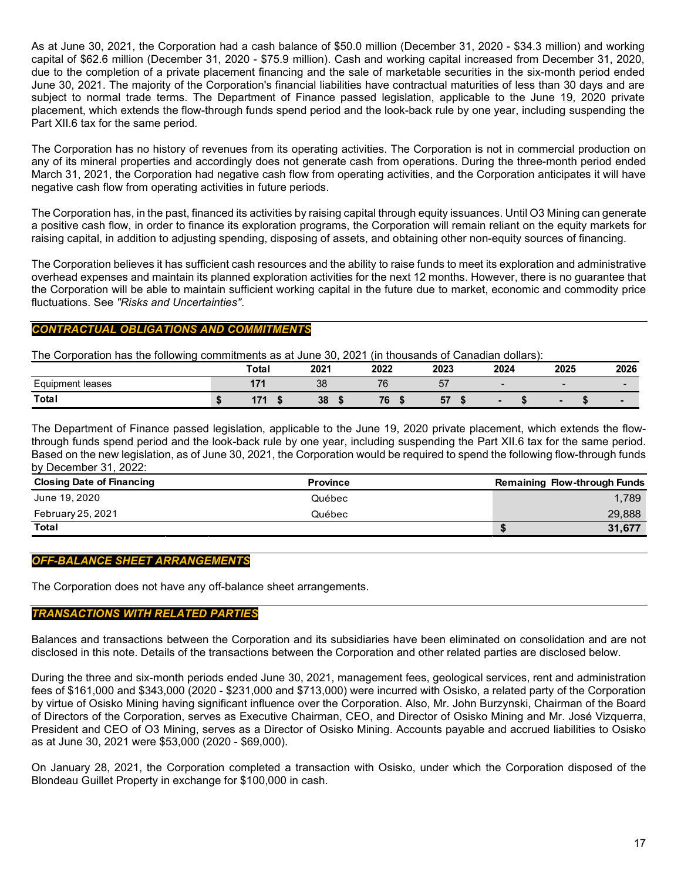As at June 30, 2021, the Corporation had a cash balance of \$50.0 million (December 31, 2020 - \$34.3 million) and working capital of \$62.6 million (December 31, 2020 - \$75.9 million). Cash and working capital increased from December 31, 2020, due to the completion of a private placement financing and the sale of marketable securities in the six-month period ended June 30, 2021. The majority of the Corporation's financial liabilities have contractual maturities of less than 30 days and are subject to normal trade terms. The Department of Finance passed legislation, applicable to the June 19, 2020 private placement, which extends the flow-through funds spend period and the look-back rule by one year, including suspending the Part XII.6 tax for the same period.

The Corporation has no history of revenues from its operating activities. The Corporation is not in commercial production on any of its mineral properties and accordingly does not generate cash from operations. During the three-month period ended March 31, 2021, the Corporation had negative cash flow from operating activities, and the Corporation anticipates it will have negative cash flow from operating activities in future periods.

The Corporation has, in the past, financed its activities by raising capital through equity issuances. Until O3 Mining can generate a positive cash flow, in order to finance its exploration programs, the Corporation will remain reliant on the equity markets for raising capital, in addition to adjusting spending, disposing of assets, and obtaining other non-equity sources of financing.

The Corporation believes it has sufficient cash resources and the ability to raise funds to meet its exploration and administrative overhead expenses and maintain its planned exploration activities for the next 12 months. However, there is no guarantee that the Corporation will be able to maintain sufficient working capital in the future due to market, economic and commodity price fluctuations. See *"Risks and Uncertainties"*.

# *CONTRACTUAL OBLIGATIONS AND COMMITMENTS*

The Corporation has the following commitments as at June 30, 2021 (in thousands of Canadian dollars):

|                  | Total          | 2021 | 2022 | 2023          | 2024 | 2025                     | 2026                     |
|------------------|----------------|------|------|---------------|------|--------------------------|--------------------------|
| Equipment leases | . .            | 38   | 76   | 57<br>ັ       |      | $\overline{\phantom{0}}$ |                          |
| Total            | $\blacksquare$ | 38   | 76   | E.<br>-<br>J1 |      |                          | $\overline{\phantom{0}}$ |

The Department of Finance passed legislation, applicable to the June 19, 2020 private placement, which extends the flowthrough funds spend period and the look-back rule by one year, including suspending the Part XII.6 tax for the same period. Based on the new legislation, as of June 30, 2021, the Corporation would be required to spend the following flow-through funds by December 31, 2022:

| <b>Closing Date of Financing</b> | <b>Province</b> | <b>Remaining Flow-through Funds</b> |
|----------------------------------|-----------------|-------------------------------------|
| June 19, 2020                    | Québec          | 1.789                               |
| February 25, 2021                | Québec          | 29,888                              |
| <b>Total</b>                     |                 | 31,677                              |

### *OFF-BALANCE SHEET ARRANGEMENTS*

The Corporation does not have any off-balance sheet arrangements.

### *TRANSACTIONS WITH RELATED PARTIES*

Balances and transactions between the Corporation and its subsidiaries have been eliminated on consolidation and are not disclosed in this note. Details of the transactions between the Corporation and other related parties are disclosed below.

During the three and six-month periods ended June 30, 2021, management fees, geological services, rent and administration fees of \$161,000 and \$343,000 (2020 - \$231,000 and \$713,000) were incurred with Osisko, a related party of the Corporation by virtue of Osisko Mining having significant influence over the Corporation. Also, Mr. John Burzynski, Chairman of the Board of Directors of the Corporation, serves as Executive Chairman, CEO, and Director of Osisko Mining and Mr. José Vizquerra, President and CEO of O3 Mining, serves as a Director of Osisko Mining. Accounts payable and accrued liabilities to Osisko as at June 30, 2021 were \$53,000 (2020 - \$69,000).

On January 28, 2021, the Corporation completed a transaction with Osisko, under which the Corporation disposed of the Blondeau Guillet Property in exchange for \$100,000 in cash.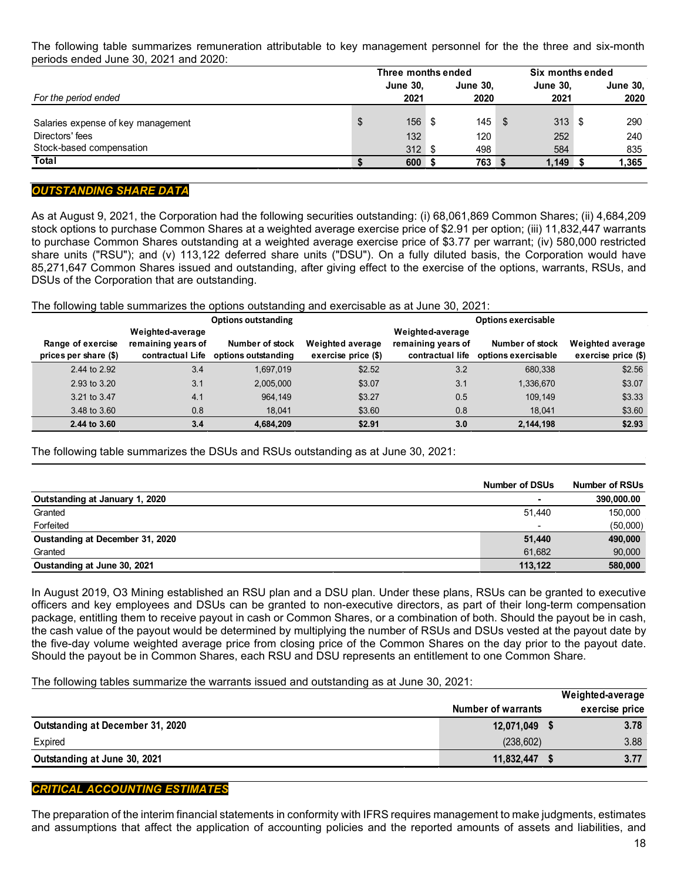The following table summarizes remuneration attributable to key management personnel for the the three and six-month periods ended June 30, 2021 and 2020:

|                                    | Three months ended |                 |  |                 |      | Six months ended |  |                 |  |
|------------------------------------|--------------------|-----------------|--|-----------------|------|------------------|--|-----------------|--|
|                                    |                    | <b>June 30.</b> |  | <b>June 30.</b> |      | <b>June 30.</b>  |  | <b>June 30,</b> |  |
| For the period ended               |                    | 2021            |  | 2020            |      | 2021             |  | 2020            |  |
|                                    |                    |                 |  |                 |      |                  |  |                 |  |
| Salaries expense of key management | \$                 | $156$ \$        |  | 145             | - \$ | $313$ \$         |  | 290             |  |
| Directors' fees                    |                    | 132             |  | 120             |      | 252              |  | 240             |  |
| Stock-based compensation           |                    | $312$ \$        |  | 498             |      | 584              |  | 835             |  |
| Total                              |                    | 600S            |  | 763             |      | $1,149$ \$       |  | 1,365           |  |

## *OUTSTANDING SHARE DATA*

As at August 9, 2021, the Corporation had the following securities outstanding: (i) 68,061,869 Common Shares; (ii) 4,684,209 stock options to purchase Common Shares at a weighted average exercise price of \$2.91 per option; (iii) 11,832,447 warrants to purchase Common Shares outstanding at a weighted average exercise price of \$3.77 per warrant; (iv) 580,000 restricted share units ("RSU"); and (v) 113,122 deferred share units ("DSU"). On a fully diluted basis, the Corporation would have 85,271,647 Common Shares issued and outstanding, after giving effect to the exercise of the options, warrants, RSUs, and DSUs of the Corporation that are outstanding.

### The following table summarizes the options outstanding and exercisable as at June 30, 2021:

|                                            |                                                            | <b>Options outstanding</b>             | <b>Options exercisable</b>              |                                                            |                                        |                                         |  |
|--------------------------------------------|------------------------------------------------------------|----------------------------------------|-----------------------------------------|------------------------------------------------------------|----------------------------------------|-----------------------------------------|--|
| Range of exercise<br>prices per share (\$) | Weighted-average<br>remaining years of<br>contractual Life | Number of stock<br>options outstanding | Weighted average<br>exercise price (\$) | Weighted-average<br>remaining years of<br>contractual life | Number of stock<br>options exercisable | Weighted average<br>exercise price (\$) |  |
| 2.44 to 2.92                               | 3.4                                                        | 1.697.019                              | \$2.52                                  | 3.2                                                        | 680,338                                | \$2.56                                  |  |
| 2.93 to 3.20                               | 3.1                                                        | 2.005.000                              | \$3.07                                  | 3.1                                                        | 1,336,670                              | \$3.07                                  |  |
| 3.21 to 3.47                               | 4.1                                                        | 964.149                                | \$3.27                                  | 0.5                                                        | 109,149                                | \$3.33                                  |  |
| 3.48 to 3.60                               | 0.8                                                        | 18.041                                 | \$3.60                                  | 0.8                                                        | 18.041                                 | \$3.60                                  |  |
| 2.44 to 3.60                               | 3.4                                                        | 4,684,209                              | \$2.91                                  | 3.0                                                        | 2,144,198                              | \$2.93                                  |  |

The following table summarizes the DSUs and RSUs outstanding as at June 30, 2021:

|                                 | <b>Number of DSUs</b>    | <b>Number of RSUs</b> |
|---------------------------------|--------------------------|-----------------------|
| Outstanding at January 1, 2020  |                          | 390,000.00            |
| Granted                         | 51,440                   | 150,000               |
| Forfeited                       | $\overline{\phantom{a}}$ | (50,000)              |
| Oustanding at December 31, 2020 | 51,440                   | 490,000               |
| Granted                         | 61.682                   | 90,000                |
| Oustanding at June 30, 2021     | 113,122                  | 580.000               |

In August 2019, O3 Mining established an RSU plan and a DSU plan. Under these plans, RSUs can be granted to executive officers and key employees and DSUs can be granted to non-executive directors, as part of their long-term compensation package, entitling them to receive payout in cash or Common Shares, or a combination of both. Should the payout be in cash, the cash value of the payout would be determined by multiplying the number of RSUs and DSUs vested at the payout date by the five-day volume weighted average price from closing price of the Common Shares on the day prior to the payout date. Should the payout be in Common Shares, each RSU and DSU represents an entitlement to one Common Share.

#### The following tables summarize the warrants issued and outstanding as at June 30, 2021:

|                                  |                           | Weighted-average |
|----------------------------------|---------------------------|------------------|
|                                  | <b>Number of warrants</b> | exercise price   |
| Outstanding at December 31, 2020 | 12,071,049                | 3.78             |
| Expired                          | (238, 602)                | 3.88             |
| Outstanding at June 30, 2021     | 11,832,447                | 3.77             |
|                                  |                           |                  |

# *CRITICAL ACCOUNTING ESTIMATES*

The preparation of the interim financial statements in conformity with IFRS requires management to make judgments, estimates and assumptions that affect the application of accounting policies and the reported amounts of assets and liabilities, and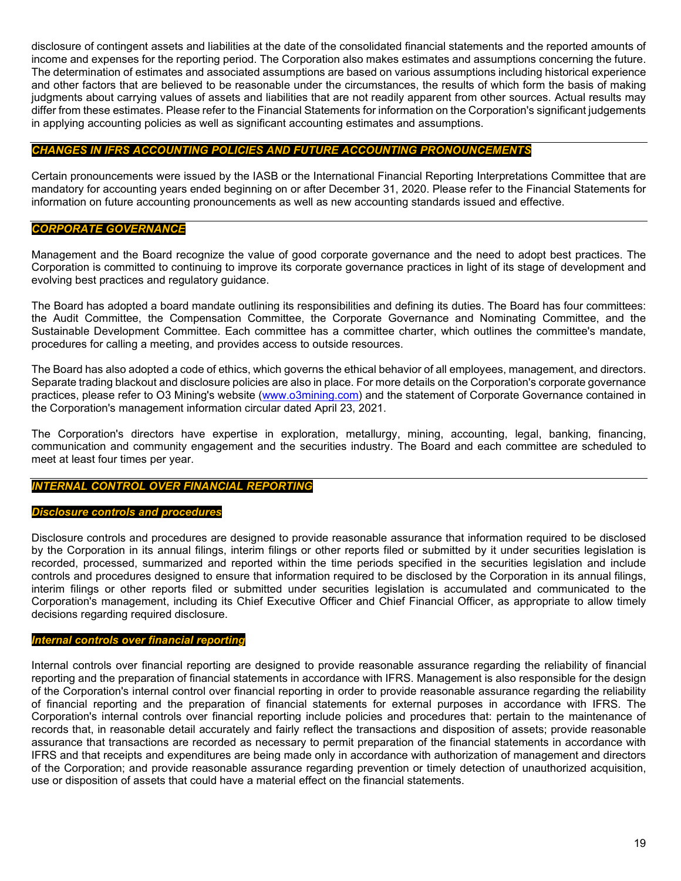disclosure of contingent assets and liabilities at the date of the consolidated financial statements and the reported amounts of income and expenses for the reporting period. The Corporation also makes estimates and assumptions concerning the future. The determination of estimates and associated assumptions are based on various assumptions including historical experience and other factors that are believed to be reasonable under the circumstances, the results of which form the basis of making judgments about carrying values of assets and liabilities that are not readily apparent from other sources. Actual results may differ from these estimates. Please refer to the Financial Statements for information on the Corporation's significant judgements in applying accounting policies as well as significant accounting estimates and assumptions.

## *CHANGES IN IFRS ACCOUNTING POLICIES AND FUTURE ACCOUNTING PRONOUNCEMENTS*

Certain pronouncements were issued by the IASB or the International Financial Reporting Interpretations Committee that are mandatory for accounting years ended beginning on or after December 31, 2020. Please refer to the Financial Statements for information on future accounting pronouncements as well as new accounting standards issued and effective.

### *CORPORATE GOVERNANCE*

Management and the Board recognize the value of good corporate governance and the need to adopt best practices. The Corporation is committed to continuing to improve its corporate governance practices in light of its stage of development and evolving best practices and regulatory guidance.

The Board has adopted a board mandate outlining its responsibilities and defining its duties. The Board has four committees: the Audit Committee, the Compensation Committee, the Corporate Governance and Nominating Committee, and the Sustainable Development Committee. Each committee has a committee charter, which outlines the committee's mandate, procedures for calling a meeting, and provides access to outside resources.

The Board has also adopted a code of ethics, which governs the ethical behavior of all employees, management, and directors. Separate trading blackout and disclosure policies are also in place. For more details on the Corporation's corporate governance practices, please refer to O3 Mining's website [\(www.o3mining.com\)](http://www.o3mining.com/) and the statement of Corporate Governance contained in the Corporation's management information circular dated April 23, 2021.

The Corporation's directors have expertise in exploration, metallurgy, mining, accounting, legal, banking, financing, communication and community engagement and the securities industry. The Board and each committee are scheduled to meet at least four times per year.

### *INTERNAL CONTROL OVER FINANCIAL REPORTING*

#### *Disclosure controls and procedures*

Disclosure controls and procedures are designed to provide reasonable assurance that information required to be disclosed by the Corporation in its annual filings, interim filings or other reports filed or submitted by it under securities legislation is recorded, processed, summarized and reported within the time periods specified in the securities legislation and include controls and procedures designed to ensure that information required to be disclosed by the Corporation in its annual filings, interim filings or other reports filed or submitted under securities legislation is accumulated and communicated to the Corporation's management, including its Chief Executive Officer and Chief Financial Officer, as appropriate to allow timely decisions regarding required disclosure.

#### *Internal controls over financial reporting*

Internal controls over financial reporting are designed to provide reasonable assurance regarding the reliability of financial reporting and the preparation of financial statements in accordance with IFRS. Management is also responsible for the design of the Corporation's internal control over financial reporting in order to provide reasonable assurance regarding the reliability of financial reporting and the preparation of financial statements for external purposes in accordance with IFRS. The Corporation's internal controls over financial reporting include policies and procedures that: pertain to the maintenance of records that, in reasonable detail accurately and fairly reflect the transactions and disposition of assets; provide reasonable assurance that transactions are recorded as necessary to permit preparation of the financial statements in accordance with IFRS and that receipts and expenditures are being made only in accordance with authorization of management and directors of the Corporation; and provide reasonable assurance regarding prevention or timely detection of unauthorized acquisition, use or disposition of assets that could have a material effect on the financial statements.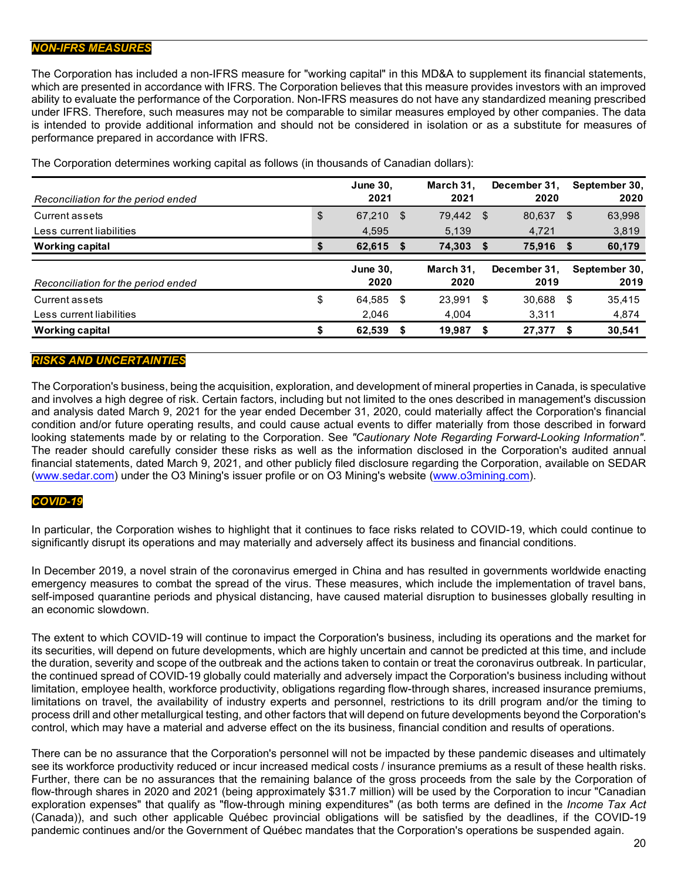### *NON-IFRS MEASURES*

The Corporation has included a non-IFRS measure for "working capital" in this MD&A to supplement its financial statements, which are presented in accordance with IFRS. The Corporation believes that this measure provides investors with an improved ability to evaluate the performance of the Corporation. Non-IFRS measures do not have any standardized meaning prescribed under IFRS. Therefore, such measures may not be comparable to similar measures employed by other companies. The data is intended to provide additional information and should not be considered in isolation or as a substitute for measures of performance prepared in accordance with IFRS.

|                                     | <b>June 30,</b> |     | March 31. | December 31, |              | September 30, |               |
|-------------------------------------|-----------------|-----|-----------|--------------|--------------|---------------|---------------|
| Reconciliation for the period ended | 2021            |     | 2021      |              | 2020         |               | 2020          |
| Current assets                      | \$<br>67.210    | \$. | 79,442 \$ |              | 80,637       | \$.           | 63,998        |
| Less current liabilities            | 4,595           |     | 5,139     |              | 4,721        |               | 3,819         |
| <b>Working capital</b>              | \$<br>62,615 \$ |     | 74,303    | - 5          | 75.916       | 5             | 60,179        |
|                                     | <b>June 30,</b> |     | March 31. |              | December 31, |               | September 30, |
| Reconciliation for the period ended | 2020            |     | 2020      |              | 2019         |               | 2019          |
| Current assets                      | \$<br>64,585    | -S  | 23.991    | S            | 30,688       | \$            | 35,415        |
| Less current liabilities            | 2,046           |     | 4.004     |              | 3,311        |               | 4,874         |
| <b>Working capital</b>              | 62.539          |     | 19.987    | S            | 27,377       | S             | 30.541        |

The Corporation determines working capital as follows (in thousands of Canadian dollars):

## *RISKS AND UNCERTAINTIES*

The Corporation's business, being the acquisition, exploration, and development of mineral properties in Canada, is speculative and involves a high degree of risk. Certain factors, including but not limited to the ones described in management's discussion and analysis dated March 9, 2021 for the year ended December 31, 2020, could materially affect the Corporation's financial condition and/or future operating results, and could cause actual events to differ materially from those described in forward looking statements made by or relating to the Corporation. See *"Cautionary Note Regarding Forward-Looking Information"*. The reader should carefully consider these risks as well as the information disclosed in the Corporation's audited annual financial statements, dated March 9, 2021, and other publicly filed disclosure regarding the Corporation, available on SEDAR [\(www.sedar.com\)](http://www.sedar.com/) under the O3 Mining's issuer profile or on O3 Mining's website [\(www.o3mining.com\)](http://www.o3mining.com/).

### *COVID-19*

In particular, the Corporation wishes to highlight that it continues to face risks related to COVID-19, which could continue to significantly disrupt its operations and may materially and adversely affect its business and financial conditions.

In December 2019, a novel strain of the coronavirus emerged in China and has resulted in governments worldwide enacting emergency measures to combat the spread of the virus. These measures, which include the implementation of travel bans, self-imposed quarantine periods and physical distancing, have caused material disruption to businesses globally resulting in an economic slowdown.

The extent to which COVID-19 will continue to impact the Corporation's business, including its operations and the market for its securities, will depend on future developments, which are highly uncertain and cannot be predicted at this time, and include the duration, severity and scope of the outbreak and the actions taken to contain or treat the coronavirus outbreak. In particular, the continued spread of COVID-19 globally could materially and adversely impact the Corporation's business including without limitation, employee health, workforce productivity, obligations regarding flow-through shares, increased insurance premiums, limitations on travel, the availability of industry experts and personnel, restrictions to its drill program and/or the timing to process drill and other metallurgical testing, and other factors that will depend on future developments beyond the Corporation's control, which may have a material and adverse effect on the its business, financial condition and results of operations.

There can be no assurance that the Corporation's personnel will not be impacted by these pandemic diseases and ultimately see its workforce productivity reduced or incur increased medical costs / insurance premiums as a result of these health risks. Further, there can be no assurances that the remaining balance of the gross proceeds from the sale by the Corporation of flow-through shares in 2020 and 2021 (being approximately \$31.7 million) will be used by the Corporation to incur "Canadian exploration expenses" that qualify as "flow-through mining expenditures" (as both terms are defined in the *Income Tax Act* (Canada)), and such other applicable Québec provincial obligations will be satisfied by the deadlines, if the COVID-19 pandemic continues and/or the Government of Québec mandates that the Corporation's operations be suspended again.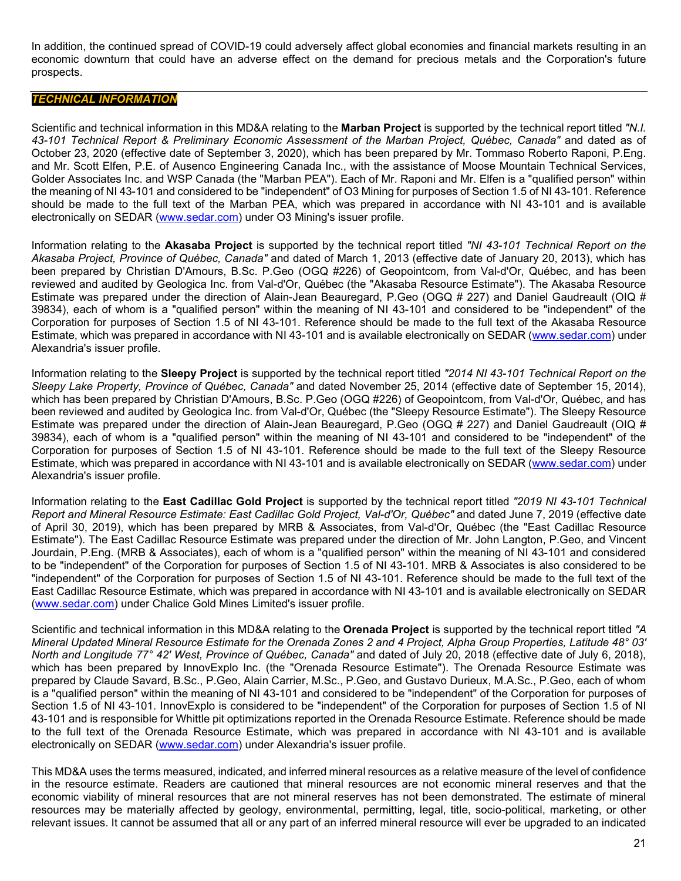In addition, the continued spread of COVID-19 could adversely affect global economies and financial markets resulting in an economic downturn that could have an adverse effect on the demand for precious metals and the Corporation's future prospects.

## *TECHNICAL INFORMATION*

Scientific and technical information in this MD&A relating to the **Marban Project** is supported by the technical report titled *"N.I. 43-101 Technical Report & Preliminary Economic Assessment of the Marban Project, Québec, Canada"* and dated as of October 23, 2020 (effective date of September 3, 2020), which has been prepared by Mr. Tommaso Roberto Raponi, P.Eng. and Mr. Scott Elfen, P.E. of Ausenco Engineering Canada Inc., with the assistance of Moose Mountain Technical Services, Golder Associates Inc. and WSP Canada (the "Marban PEA"). Each of Mr. Raponi and Mr. Elfen is a "qualified person" within the meaning of NI 43-101 and considered to be "independent" of O3 Mining for purposes of Section 1.5 of NI 43-101. Reference should be made to the full text of the Marban PEA, which was prepared in accordance with NI 43-101 and is available electronically on SEDAR [\(www.sedar.com\)](http://www.sedar.com/) under O3 Mining's issuer profile.

Information relating to the **Akasaba Project** is supported by the technical report titled *"NI 43-101 Technical Report on the Akasaba Project, Province of Québec, Canada"* and dated of March 1, 2013 (effective date of January 20, 2013), which has been prepared by Christian D'Amours, B.Sc. P.Geo (OGQ #226) of Geopointcom, from Val-d'Or, Québec, and has been reviewed and audited by Geologica Inc. from Val-d'Or, Québec (the "Akasaba Resource Estimate"). The Akasaba Resource Estimate was prepared under the direction of Alain-Jean Beauregard, P.Geo (OGQ # 227) and Daniel Gaudreault (OIQ # 39834), each of whom is a "qualified person" within the meaning of NI 43-101 and considered to be "independent" of the Corporation for purposes of Section 1.5 of NI 43-101. Reference should be made to the full text of the Akasaba Resource Estimate, which was prepared in accordance with NI 43-101 and is available electronically on SEDAR [\(www.sedar.com\)](http://www.sedar.com/) under Alexandria's issuer profile.

Information relating to the **Sleepy Project** is supported by the technical report titled *"2014 NI 43-101 Technical Report on the Sleepy Lake Property, Province of Québec, Canada"* and dated November 25, 2014 (effective date of September 15, 2014), which has been prepared by Christian D'Amours, B.Sc. P.Geo (OGQ #226) of Geopointcom, from Val-d'Or, Québec, and has been reviewed and audited by Geologica Inc. from Val-d'Or, Québec (the "Sleepy Resource Estimate"). The Sleepy Resource Estimate was prepared under the direction of Alain-Jean Beauregard, P.Geo (OGQ # 227) and Daniel Gaudreault (OIQ # 39834), each of whom is a "qualified person" within the meaning of NI 43-101 and considered to be "independent" of the Corporation for purposes of Section 1.5 of NI 43-101. Reference should be made to the full text of the Sleepy Resource Estimate, which was prepared in accordance with NI 43-101 and is available electronically on SEDAR [\(www.sedar.com\)](http://www.sedar.com/) under Alexandria's issuer profile.

Information relating to the **East Cadillac Gold Project** is supported by the technical report titled *"2019 NI 43-101 Technical Report and Mineral Resource Estimate: East Cadillac Gold Project, Val-d'Or, Québec"* and dated June 7, 2019 (effective date of April 30, 2019), which has been prepared by MRB & Associates, from Val-d'Or, Québec (the "East Cadillac Resource Estimate"). The East Cadillac Resource Estimate was prepared under the direction of Mr. John Langton, P.Geo, and Vincent Jourdain, P.Eng. (MRB & Associates), each of whom is a "qualified person" within the meaning of NI 43-101 and considered to be "independent" of the Corporation for purposes of Section 1.5 of NI 43-101. MRB & Associates is also considered to be "independent" of the Corporation for purposes of Section 1.5 of NI 43-101. Reference should be made to the full text of the East Cadillac Resource Estimate, which was prepared in accordance with NI 43-101 and is available electronically on SEDAR [\(www.sedar.com\)](http://www.sedar.com/) under Chalice Gold Mines Limited's issuer profile.

Scientific and technical information in this MD&A relating to the **Orenada Project** is supported by the technical report titled *"A Mineral Updated Mineral Resource Estimate for the Orenada Zones 2 and 4 Project, Alpha Group Properties, Latitude 48° 03' North and Longitude 77° 42' West, Province of Québec, Canada"* and dated of July 20, 2018 (effective date of July 6, 2018), which has been prepared by InnovExplo Inc. (the "Orenada Resource Estimate"). The Orenada Resource Estimate was prepared by Claude Savard, B.Sc., P.Geo, Alain Carrier, M.Sc., P.Geo, and Gustavo Durieux, M.A.Sc., P.Geo, each of whom is a "qualified person" within the meaning of NI 43-101 and considered to be "independent" of the Corporation for purposes of Section 1.5 of NI 43-101. InnovExplo is considered to be "independent" of the Corporation for purposes of Section 1.5 of NI 43-101 and is responsible for Whittle pit optimizations reported in the Orenada Resource Estimate. Reference should be made to the full text of the Orenada Resource Estimate, which was prepared in accordance with NI 43-101 and is available electronically on SEDAR [\(www.sedar.com\)](http://www.sedar.com/) under Alexandria's issuer profile.

This MD&A uses the terms measured, indicated, and inferred mineral resources as a relative measure of the level of confidence in the resource estimate. Readers are cautioned that mineral resources are not economic mineral reserves and that the economic viability of mineral resources that are not mineral reserves has not been demonstrated. The estimate of mineral resources may be materially affected by geology, environmental, permitting, legal, title, socio-political, marketing, or other relevant issues. It cannot be assumed that all or any part of an inferred mineral resource will ever be upgraded to an indicated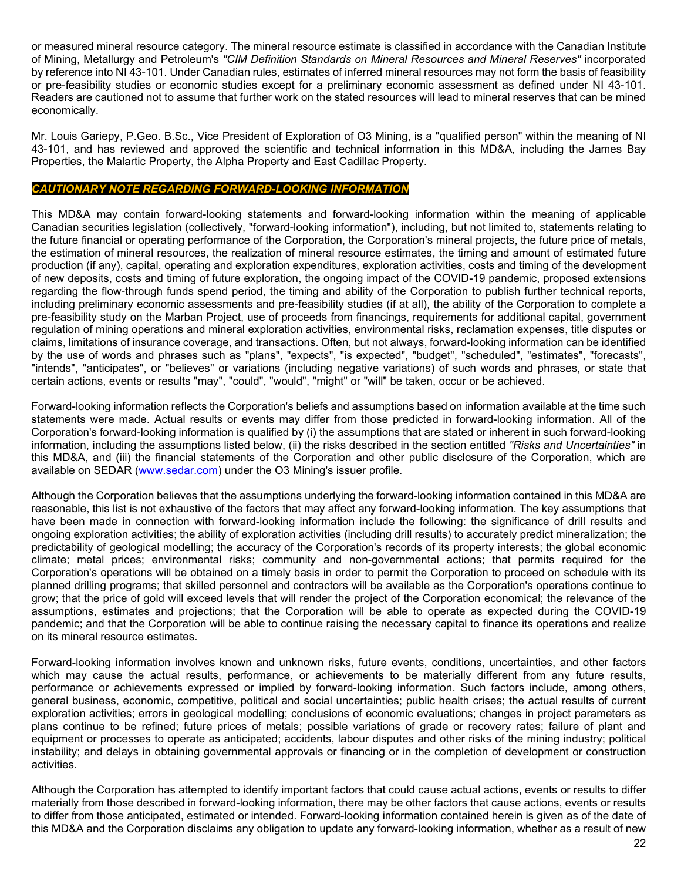or measured mineral resource category. The mineral resource estimate is classified in accordance with the Canadian Institute of Mining, Metallurgy and Petroleum's *"CIM Definition Standards on Mineral Resources and Mineral Reserves"* incorporated by reference into NI 43-101. Under Canadian rules, estimates of inferred mineral resources may not form the basis of feasibility or pre-feasibility studies or economic studies except for a preliminary economic assessment as defined under NI 43-101. Readers are cautioned not to assume that further work on the stated resources will lead to mineral reserves that can be mined economically.

Mr. Louis Gariepy, P.Geo. B.Sc., Vice President of Exploration of O3 Mining, is a "qualified person" within the meaning of NI 43-101, and has reviewed and approved the scientific and technical information in this MD&A, including the James Bay Properties, the Malartic Property, the Alpha Property and East Cadillac Property.

### *CAUTIONARY NOTE REGARDING FORWARD-LOOKING INFORMATION*

This MD&A may contain forward-looking statements and forward-looking information within the meaning of applicable Canadian securities legislation (collectively, "forward-looking information"), including, but not limited to, statements relating to the future financial or operating performance of the Corporation, the Corporation's mineral projects, the future price of metals, the estimation of mineral resources, the realization of mineral resource estimates, the timing and amount of estimated future production (if any), capital, operating and exploration expenditures, exploration activities, costs and timing of the development of new deposits, costs and timing of future exploration, the ongoing impact of the COVID-19 pandemic, proposed extensions regarding the flow-through funds spend period, the timing and ability of the Corporation to publish further technical reports, including preliminary economic assessments and pre-feasibility studies (if at all), the ability of the Corporation to complete a pre-feasibility study on the Marban Project, use of proceeds from financings, requirements for additional capital, government regulation of mining operations and mineral exploration activities, environmental risks, reclamation expenses, title disputes or claims, limitations of insurance coverage, and transactions. Often, but not always, forward-looking information can be identified by the use of words and phrases such as "plans", "expects", "is expected", "budget", "scheduled", "estimates", "forecasts", "intends", "anticipates", or "believes" or variations (including negative variations) of such words and phrases, or state that certain actions, events or results "may", "could", "would", "might" or "will" be taken, occur or be achieved.

Forward-looking information reflects the Corporation's beliefs and assumptions based on information available at the time such statements were made. Actual results or events may differ from those predicted in forward-looking information. All of the Corporation's forward-looking information is qualified by (i) the assumptions that are stated or inherent in such forward-looking information, including the assumptions listed below, (ii) the risks described in the section entitled *"Risks and Uncertainties"* in this MD&A, and (iii) the financial statements of the Corporation and other public disclosure of the Corporation, which are available on SEDAR [\(www.sedar.com\)](http://www.sedar.com/) under the O3 Mining's issuer profile.

Although the Corporation believes that the assumptions underlying the forward-looking information contained in this MD&A are reasonable, this list is not exhaustive of the factors that may affect any forward-looking information. The key assumptions that have been made in connection with forward-looking information include the following: the significance of drill results and ongoing exploration activities; the ability of exploration activities (including drill results) to accurately predict mineralization; the predictability of geological modelling; the accuracy of the Corporation's records of its property interests; the global economic climate; metal prices; environmental risks; community and non-governmental actions; that permits required for the Corporation's operations will be obtained on a timely basis in order to permit the Corporation to proceed on schedule with its planned drilling programs; that skilled personnel and contractors will be available as the Corporation's operations continue to grow; that the price of gold will exceed levels that will render the project of the Corporation economical; the relevance of the assumptions, estimates and projections; that the Corporation will be able to operate as expected during the COVID-19 pandemic; and that the Corporation will be able to continue raising the necessary capital to finance its operations and realize on its mineral resource estimates.

Forward-looking information involves known and unknown risks, future events, conditions, uncertainties, and other factors which may cause the actual results, performance, or achievements to be materially different from any future results, performance or achievements expressed or implied by forward-looking information. Such factors include, among others, general business, economic, competitive, political and social uncertainties; public health crises; the actual results of current exploration activities; errors in geological modelling; conclusions of economic evaluations; changes in project parameters as plans continue to be refined; future prices of metals; possible variations of grade or recovery rates; failure of plant and equipment or processes to operate as anticipated; accidents, labour disputes and other risks of the mining industry; political instability; and delays in obtaining governmental approvals or financing or in the completion of development or construction activities.

Although the Corporation has attempted to identify important factors that could cause actual actions, events or results to differ materially from those described in forward-looking information, there may be other factors that cause actions, events or results to differ from those anticipated, estimated or intended. Forward-looking information contained herein is given as of the date of this MD&A and the Corporation disclaims any obligation to update any forward-looking information, whether as a result of new